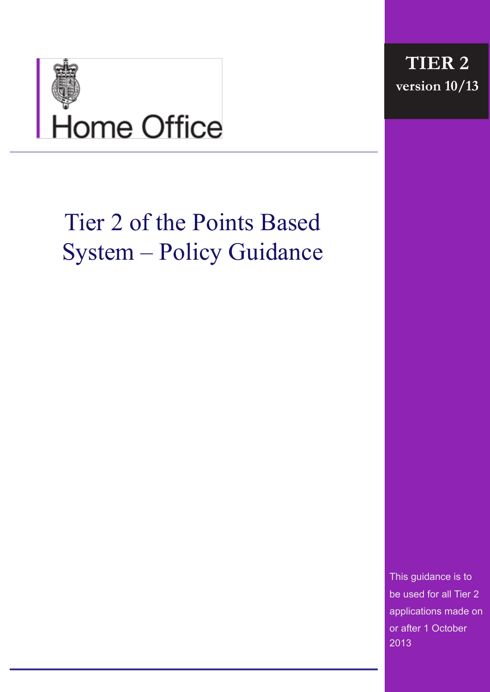

# Tier 2 of the Points Based System – Policy Guidance

This guidance is to be used for all Tier 2 applications made on or after 1 October 2013

**TIER 2 version 10/13**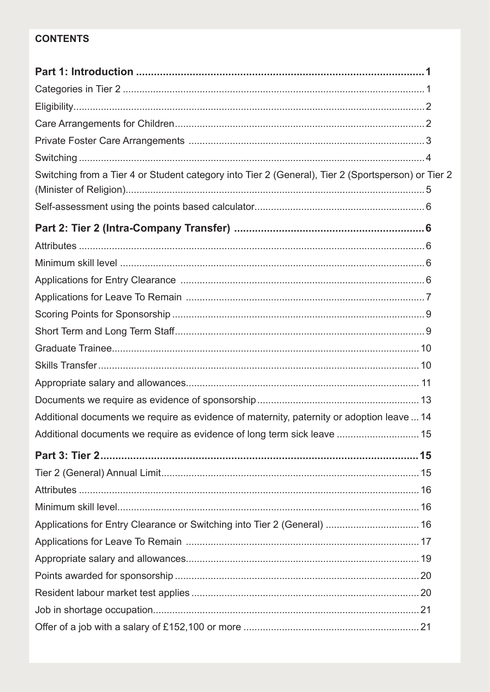# **CONTENTS**

| Switching from a Tier 4 or Student category into Tier 2 (General), Tier 2 (Sportsperson) or Tier 2 |  |
|----------------------------------------------------------------------------------------------------|--|
|                                                                                                    |  |
|                                                                                                    |  |
|                                                                                                    |  |
|                                                                                                    |  |
|                                                                                                    |  |
|                                                                                                    |  |
|                                                                                                    |  |
|                                                                                                    |  |
|                                                                                                    |  |
|                                                                                                    |  |
|                                                                                                    |  |
|                                                                                                    |  |
|                                                                                                    |  |
| Additional documents we require as evidence of maternity, paternity or adoption leave  14          |  |
| Additional documents we require as evidence of long term sick leave  15                            |  |
|                                                                                                    |  |
|                                                                                                    |  |
|                                                                                                    |  |
|                                                                                                    |  |
| Applications for Entry Clearance or Switching into Tier 2 (General)  16                            |  |
|                                                                                                    |  |
|                                                                                                    |  |
|                                                                                                    |  |
|                                                                                                    |  |
|                                                                                                    |  |
|                                                                                                    |  |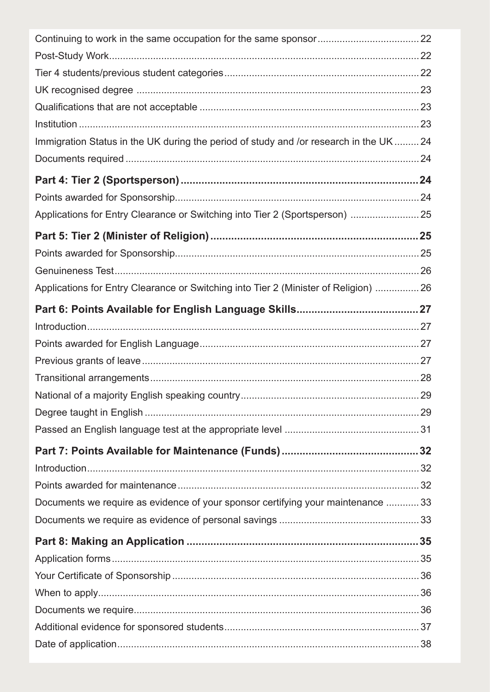| Immigration Status in the UK during the period of study and /or research in the UK  24 |  |
|----------------------------------------------------------------------------------------|--|
|                                                                                        |  |
|                                                                                        |  |
|                                                                                        |  |
| Applications for Entry Clearance or Switching into Tier 2 (Sportsperson)  25           |  |
|                                                                                        |  |
|                                                                                        |  |
|                                                                                        |  |
| Applications for Entry Clearance or Switching into Tier 2 (Minister of Religion)  26   |  |
|                                                                                        |  |
|                                                                                        |  |
|                                                                                        |  |
|                                                                                        |  |
|                                                                                        |  |
|                                                                                        |  |
|                                                                                        |  |
|                                                                                        |  |
|                                                                                        |  |
|                                                                                        |  |
|                                                                                        |  |
| Documents we require as evidence of your sponsor certifying your maintenance  33       |  |
|                                                                                        |  |
|                                                                                        |  |
|                                                                                        |  |
|                                                                                        |  |
|                                                                                        |  |
|                                                                                        |  |
|                                                                                        |  |
|                                                                                        |  |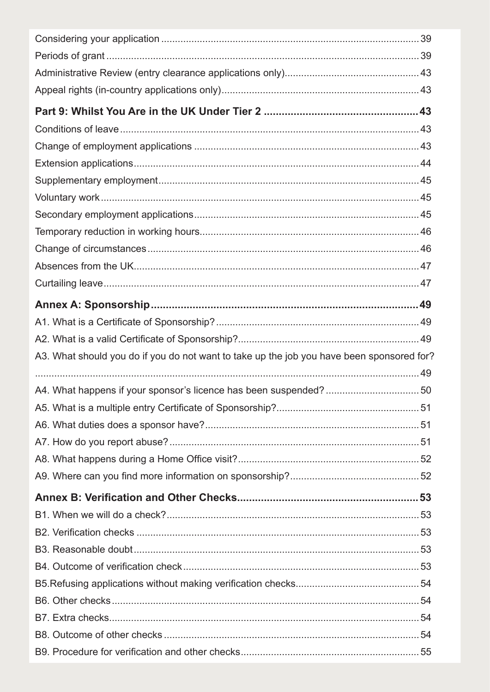| A3. What should you do if you do not want to take up the job you have been sponsored for? |  |
|-------------------------------------------------------------------------------------------|--|
|                                                                                           |  |
|                                                                                           |  |
|                                                                                           |  |
|                                                                                           |  |
|                                                                                           |  |
|                                                                                           |  |
|                                                                                           |  |
|                                                                                           |  |
|                                                                                           |  |
|                                                                                           |  |
|                                                                                           |  |
|                                                                                           |  |
|                                                                                           |  |
|                                                                                           |  |
|                                                                                           |  |
|                                                                                           |  |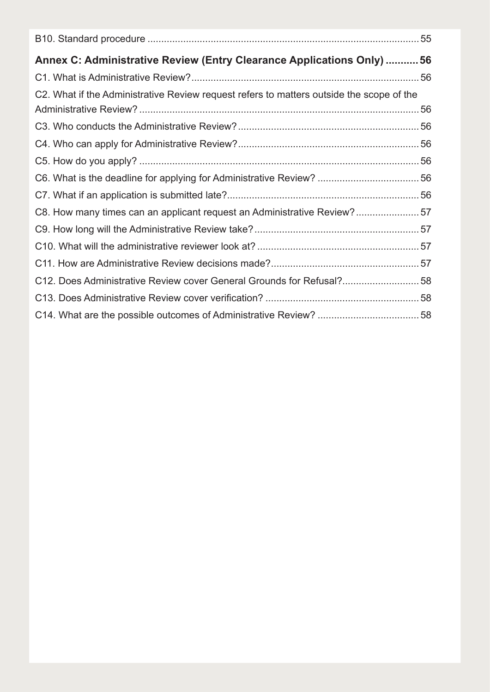| Annex C: Administrative Review (Entry Clearance Applications Only) 56                    |  |
|------------------------------------------------------------------------------------------|--|
|                                                                                          |  |
| C2. What if the Administrative Review request refers to matters outside the scope of the |  |
|                                                                                          |  |
|                                                                                          |  |
|                                                                                          |  |
|                                                                                          |  |
|                                                                                          |  |
|                                                                                          |  |
| C8. How many times can an applicant request an Administrative Review?57                  |  |
|                                                                                          |  |
|                                                                                          |  |
|                                                                                          |  |
| C12. Does Administrative Review cover General Grounds for Refusal?58                     |  |
|                                                                                          |  |
|                                                                                          |  |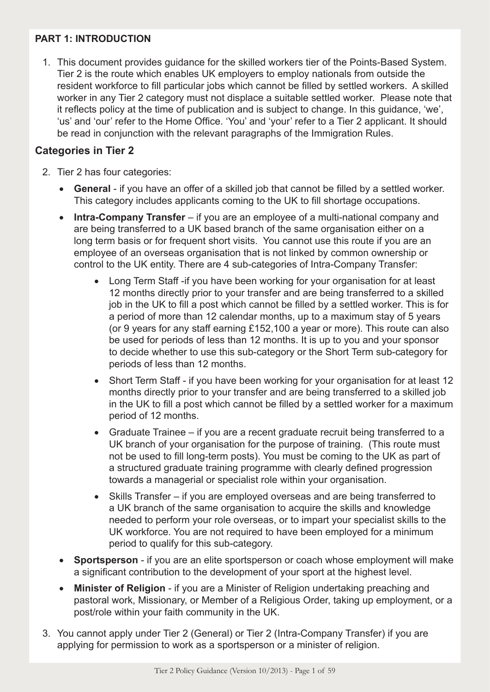# **PART 1: INTRODUCTION**

1. This document provides guidance for the skilled workers tier of the Points-Based System. Tier 2 is the route which enables UK employers to employ nationals from outside the resident workforce to fill particular jobs which cannot be filled by settled workers. A skilled worker in any Tier 2 category must not displace a suitable settled worker. Please note that it reflects policy at the time of publication and is subject to change. In this guidance, 'we', 'us' and 'our' refer to the Home Office. 'You' and 'your' refer to a Tier 2 applicant. It should be read in conjunction with the relevant paragraphs of the Immigration Rules.

#### **Categories in Tier 2**

- 2. Tier 2 has four categories:
	- • **General** if you have an offer of a skilled job that cannot be filled by a settled worker. This category includes applicants coming to the UK to fill shortage occupations.
	- **Intra-Company Transfer** if you are an employee of a multi-national company and are being transferred to a UK based branch of the same organisation either on a long term basis or for frequent short visits. You cannot use this route if you are an employee of an overseas organisation that is not linked by common ownership or control to the UK entity. There are 4 sub-categories of Intra-Company Transfer:
		- Long Term Staff -if you have been working for your organisation for at least 12 months directly prior to your transfer and are being transferred to a skilled job in the UK to fill a post which cannot be filled by a settled worker. This is for a period of more than 12 calendar months, up to a maximum stay of 5 years (or 9 years for any staff earning £152,100 a year or more). This route can also be used for periods of less than 12 months. It is up to you and your sponsor to decide whether to use this sub-category or the Short Term sub-category for periods of less than 12 months.
		- Short Term Staff if you have been working for your organisation for at least 12 months directly prior to your transfer and are being transferred to a skilled job in the UK to fill a post which cannot be filled by a settled worker for a maximum period of 12 months.
		- Graduate Trainee if you are a recent graduate recruit being transferred to a UK branch of your organisation for the purpose of training. (This route must not be used to fill long-term posts). You must be coming to the UK as part of a structured graduate training programme with clearly defined progression towards a managerial or specialist role within your organisation.
		- Skills Transfer if you are employed overseas and are being transferred to a UK branch of the same organisation to acquire the skills and knowledge needed to perform your role overseas, or to impart your specialist skills to the UK workforce. You are not required to have been employed for a minimum period to qualify for this sub-category.
	- **Sportsperson** if you are an elite sportsperson or coach whose employment will make a significant contribution to the development of your sport at the highest level.
	- • **Minister of Religion** if you are a Minister of Religion undertaking preaching and pastoral work, Missionary, or Member of a Religious Order, taking up employment, or a post/role within your faith community in the UK.
- 3. You cannot apply under Tier 2 (General) or Tier 2 (Intra-Company Transfer) if you are applying for permission to work as a sportsperson or a minister of religion.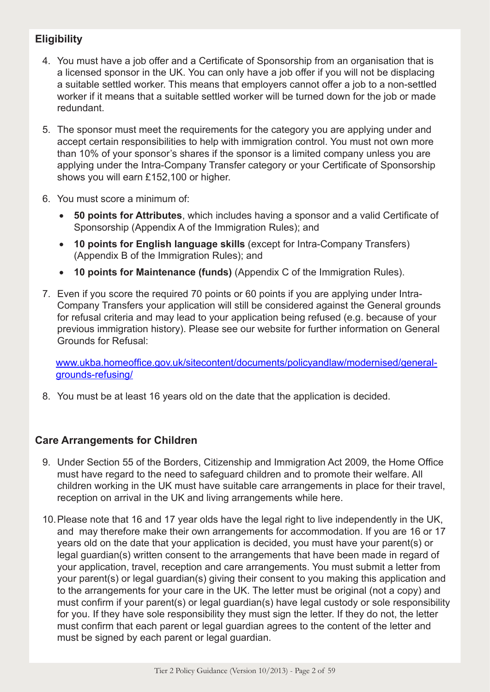# **Eligibility**

- 4. You must have a job offer and a Certificate of Sponsorship from an organisation that is a licensed sponsor in the UK. You can only have a job offer if you will not be displacing a suitable settled worker. This means that employers cannot offer a job to a non-settled worker if it means that a suitable settled worker will be turned down for the job or made redundant.
- 5. The sponsor must meet the requirements for the category you are applying under and accept certain responsibilities to help with immigration control. You must not own more than 10% of your sponsor's shares if the sponsor is a limited company unless you are applying under the Intra-Company Transfer category or your Certificate of Sponsorship shows you will earn £152,100 or higher.
- 6. You must score a minimum of:
	- • **50 points for Attributes**, which includes having a sponsor and a valid Certificate of Sponsorship (Appendix A of the Immigration Rules); and
	- • **10 points for English language skills** (except for Intra-Company Transfers) (Appendix B of the Immigration Rules); and
	- • **10 points for Maintenance (funds)** (Appendix C of the Immigration Rules).
- 7. Even if you score the required 70 points or 60 points if you are applying under Intra-Company Transfers your application will still be considered against the General grounds for refusal criteria and may lead to your application being refused (e.g. because of your previous immigration history). Please see our website for further information on General Grounds for Refusal:

 www.ukba.homeoffice.gov.uk/sitecontent/documents/policyandlaw/modernised/generalgrounds-refusing/

8. You must be at least 16 years old on the date that the application is decided.

# **Care Arrangements for Children**

- 9. Under Section 55 of the Borders, Citizenship and Immigration Act 2009, the Home Office must have regard to the need to safeguard children and to promote their welfare. All children working in the UK must have suitable care arrangements in place for their travel, reception on arrival in the UK and living arrangements while here.
- 10.Please note that 16 and 17 year olds have the legal right to live independently in the UK, and may therefore make their own arrangements for accommodation. If you are 16 or 17 years old on the date that your application is decided, you must have your parent(s) or legal guardian(s) written consent to the arrangements that have been made in regard of your application, travel, reception and care arrangements. You must submit a letter from your parent(s) or legal guardian(s) giving their consent to you making this application and to the arrangements for your care in the UK. The letter must be original (not a copy) and must confirm if your parent(s) or legal guardian(s) have legal custody or sole responsibility for you. If they have sole responsibility they must sign the letter. If they do not, the letter must confirm that each parent or legal guardian agrees to the content of the letter and must be signed by each parent or legal guardian.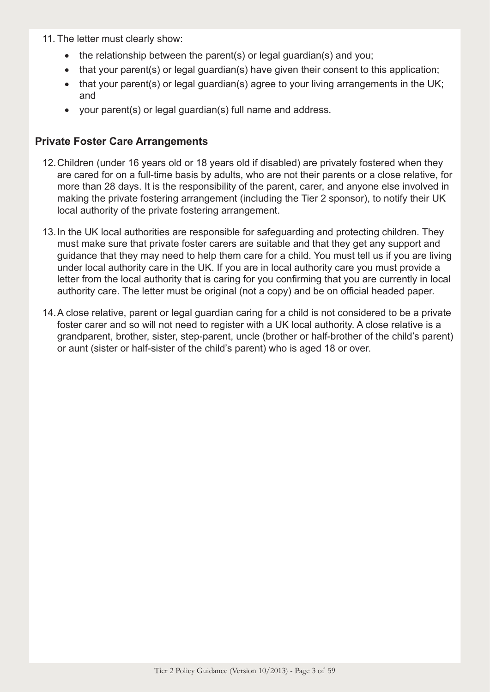- 11. The letter must clearly show:
	- the relationship between the parent(s) or legal guardian(s) and you;
	- that your parent(s) or legal guardian(s) have given their consent to this application;
	- that your parent(s) or legal guardian(s) agree to your living arrangements in the UK; and
	- • your parent(s) or legal guardian(s) full name and address.

# **Private Foster Care Arrangements**

- 12.Children (under 16 years old or 18 years old if disabled) are privately fostered when they are cared for on a full-time basis by adults, who are not their parents or a close relative, for more than 28 days. It is the responsibility of the parent, carer, and anyone else involved in making the private fostering arrangement (including the Tier 2 sponsor), to notify their UK local authority of the private fostering arrangement.
- 13.In the UK local authorities are responsible for safeguarding and protecting children. They must make sure that private foster carers are suitable and that they get any support and guidance that they may need to help them care for a child. You must tell us if you are living under local authority care in the UK. If you are in local authority care you must provide a letter from the local authority that is caring for you confirming that you are currently in local authority care. The letter must be original (not a copy) and be on official headed paper.
- 14.A close relative, parent or legal guardian caring for a child is not considered to be a private foster carer and so will not need to register with a UK local authority. A close relative is a grandparent, brother, sister, step-parent, uncle (brother or half-brother of the child's parent) or aunt (sister or half-sister of the child's parent) who is aged 18 or over.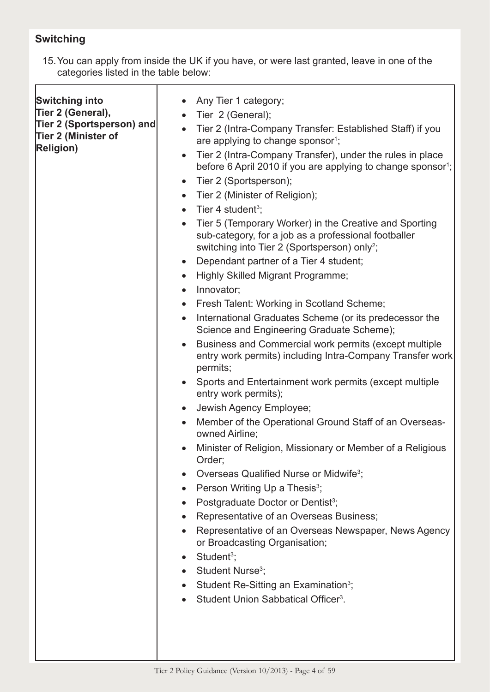# **Switching**

15.You can apply from inside the UK if you have, or were last granted, leave in one of the categories listed in the table below:

| <b>Switching into</b><br>Tier 2 (General),<br>Tier 2 (Sportsperson) and<br>Tier 2 (Minister of<br><b>Religion)</b> | Any Tier 1 category;<br>Tier 2 (General);<br>Tier 2 (Intra-Company Transfer: Established Staff) if you<br>are applying to change sponsor <sup>1</sup> ;<br>Tier 2 (Intra-Company Transfer), under the rules in place<br>$\bullet$<br>before 6 April 2010 if you are applying to change sponsor <sup>1</sup> ;<br>Tier 2 (Sportsperson);<br>$\bullet$<br>Tier 2 (Minister of Religion);<br>$\bullet$<br>Tier 4 student <sup>3</sup> ;<br>$\bullet$<br>Tier 5 (Temporary Worker) in the Creative and Sporting<br>$\bullet$<br>sub-category, for a job as a professional footballer<br>switching into Tier 2 (Sportsperson) only <sup>2</sup> ;<br>Dependant partner of a Tier 4 student;<br>$\bullet$<br>Highly Skilled Migrant Programme;<br>$\bullet$<br>Innovator;<br>$\bullet$<br>Fresh Talent: Working in Scotland Scheme;<br>$\bullet$<br>International Graduates Scheme (or its predecessor the<br>$\bullet$<br>Science and Engineering Graduate Scheme);<br>Business and Commercial work permits (except multiple<br>$\bullet$<br>entry work permits) including Intra-Company Transfer work<br>permits;<br>Sports and Entertainment work permits (except multiple<br>$\bullet$<br>entry work permits);<br>Jewish Agency Employee;<br>$\bullet$<br>Member of the Operational Ground Staff of an Overseas-<br>$\bullet$<br>owned Airline;<br>Minister of Religion, Missionary or Member of a Religious<br>Order;<br>Overseas Qualified Nurse or Midwife <sup>3</sup> ;<br>Person Writing Up a Thesis <sup>3</sup> ;<br>Postgraduate Doctor or Dentist <sup>3</sup> ;<br>Representative of an Overseas Business;<br>Representative of an Overseas Newspaper, News Agency<br>or Broadcasting Organisation;<br>Student <sup>3</sup> ;<br>Student Nurse <sup>3</sup> ;<br>Student Re-Sitting an Examination <sup>3</sup> ;<br>Student Union Sabbatical Officer <sup>3</sup> . |
|--------------------------------------------------------------------------------------------------------------------|-------------------------------------------------------------------------------------------------------------------------------------------------------------------------------------------------------------------------------------------------------------------------------------------------------------------------------------------------------------------------------------------------------------------------------------------------------------------------------------------------------------------------------------------------------------------------------------------------------------------------------------------------------------------------------------------------------------------------------------------------------------------------------------------------------------------------------------------------------------------------------------------------------------------------------------------------------------------------------------------------------------------------------------------------------------------------------------------------------------------------------------------------------------------------------------------------------------------------------------------------------------------------------------------------------------------------------------------------------------------------------------------------------------------------------------------------------------------------------------------------------------------------------------------------------------------------------------------------------------------------------------------------------------------------------------------------------------------------------------------------------------------------------------------------------------------------------------------------------------------------------|
|                                                                                                                    |                                                                                                                                                                                                                                                                                                                                                                                                                                                                                                                                                                                                                                                                                                                                                                                                                                                                                                                                                                                                                                                                                                                                                                                                                                                                                                                                                                                                                                                                                                                                                                                                                                                                                                                                                                                                                                                                               |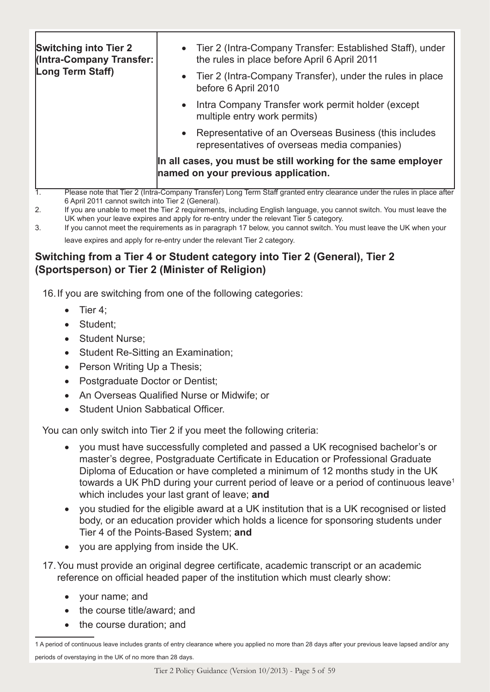| <b>Switching into Tier 2</b><br><b>(Intra-Company Transfer:</b><br>Long Term Staff)                  | • Tier 2 (Intra-Company Transfer: Established Staff), under<br>the rules in place before April 6 April 2011             |
|------------------------------------------------------------------------------------------------------|-------------------------------------------------------------------------------------------------------------------------|
|                                                                                                      | Tier 2 (Intra-Company Transfer), under the rules in place<br>$\bullet$<br>before 6 April 2010                           |
|                                                                                                      | Intra Company Transfer work permit holder (except<br>$\bullet$<br>multiple entry work permits)                          |
|                                                                                                      | Representative of an Overseas Business (this includes<br>$\bullet$<br>representatives of overseas media companies)      |
| In all cases, you must be still working for the same employer<br>named on your previous application. |                                                                                                                         |
|                                                                                                      | Please note that Tier 2 (Intra-Company Transfer) Long Term Staff granted entry clearance under the rules in place after |

- 6 April 2011 cannot switch into Tier 2 (General).
- 2. If you are unable to meet the Tier 2 requirements, including English language, you cannot switch. You must leave the UK when your leave expires and apply for re-entry under the relevant Tier 5 category.
- 3. If you cannot meet the requirements as in paragraph 17 below, you cannot switch. You must leave the UK when your leave expires and apply for re-entry under the relevant Tier 2 category.

# **Switching from a Tier 4 or Student category into Tier 2 (General), Tier 2 (Sportsperson) or Tier 2 (Minister of Religion)**

16.If you are switching from one of the following categories:

- Tier 4;
- Student:
- Student Nurse:
- Student Re-Sitting an Examination;
- Person Writing Up a Thesis;
- Postgraduate Doctor or Dentist;
- • An Overseas Qualified Nurse or Midwife; or
- **Student Union Sabbatical Officer.**

You can only switch into Tier 2 if you meet the following criteria:

- • you must have successfully completed and passed a UK recognised bachelor's or master's degree, Postgraduate Certificate in Education or Professional Graduate Diploma of Education or have completed a minimum of 12 months study in the UK towards a UK PhD during your current period of leave or a period of continuous leave<sup>1</sup> which includes your last grant of leave; **and**
- you studied for the eligible award at a UK institution that is a UK recognised or listed body, or an education provider which holds a licence for sponsoring students under Tier 4 of the Points-Based System; **and**
- you are applying from inside the UK.
- 17.You must provide an original degree certificate, academic transcript or an academic reference on official headed paper of the institution which must clearly show:
	- your name; and
	- the course title/award; and
	- the course duration; and

<sup>1</sup> A period of continuous leave includes grants of entry clearance where you applied no more than 28 days after your previous leave lapsed and/or any periods of overstaying in the UK of no more than 28 days.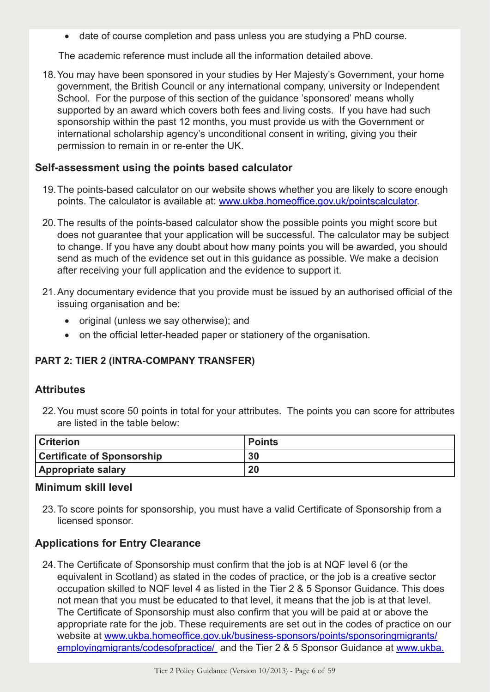• date of course completion and pass unless you are studying a PhD course.

The academic reference must include all the information detailed above.

18.You may have been sponsored in your studies by Her Majesty's Government, your home government, the British Council or any international company, university or Independent School. For the purpose of this section of the guidance 'sponsored' means wholly supported by an award which covers both fees and living costs. If you have had such sponsorship within the past 12 months, you must provide us with the Government or international scholarship agency's unconditional consent in writing, giving you their permission to remain in or re-enter the UK.

#### **Self-assessment using the points based calculator**

- 19.The points-based calculator on our website shows whether you are likely to score enough points. The calculator is available at: www.ukba.homeoffice.gov.uk/pointscalculator.
- 20.The results of the points-based calculator show the possible points you might score but does not guarantee that your application will be successful. The calculator may be subject to change. If you have any doubt about how many points you will be awarded, you should send as much of the evidence set out in this guidance as possible. We make a decision after receiving your full application and the evidence to support it.
- 21.Any documentary evidence that you provide must be issued by an authorised official of the issuing organisation and be:
	- original (unless we say otherwise); and
	- on the official letter-headed paper or stationery of the organisation.

#### **PART 2: TIER 2 (INTRA-COMPANY TRANSFER)**

#### **Attributes**

22.You must score 50 points in total for your attributes. The points you can score for attributes are listed in the table below:

| <b>Criterion</b>                  | l Points |
|-----------------------------------|----------|
| <b>Certificate of Sponsorship</b> | 30       |
| <b>Appropriate salary</b>         | 20       |

#### **Minimum skill level**

23.To score points for sponsorship, you must have a valid Certificate of Sponsorship from a licensed sponsor.

# **Applications for Entry Clearance**

24.The Certificate of Sponsorship must confirm that the job is at NQF level 6 (or the equivalent in Scotland) as stated in the codes of practice, or the job is a creative sector occupation skilled to NQF level 4 as listed in the Tier 2 & 5 Sponsor Guidance. This does not mean that you must be educated to that level, it means that the job is at that level. The Certificate of Sponsorship must also confirm that you will be paid at or above the appropriate rate for the job. These requirements are set out in the codes of practice on our website at www.ukba.homeoffice.gov.uk/business-sponsors/points/sponsoringmigrants/ employing migrants/codesof practice/ and the Tier 2 & 5 Sponsor Guidance at www.ukba.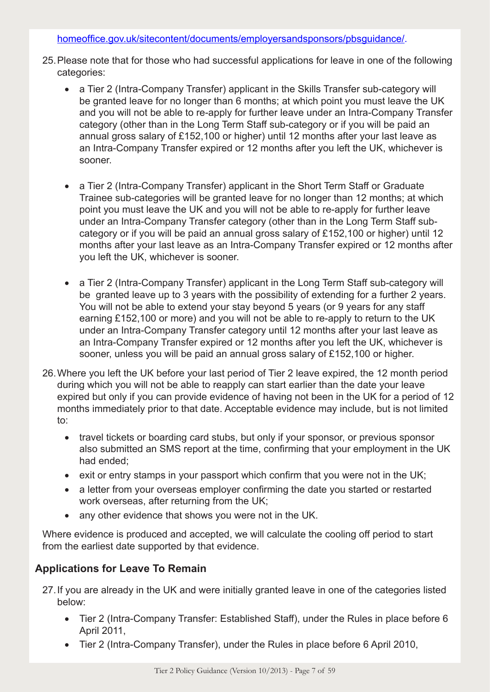#### homeoffice.gov.uk/sitecontent/documents/employersandsponsors/pbsguidance/.

- 25.Please note that for those who had successful applications for leave in one of the following categories:
	- a Tier 2 (Intra-Company Transfer) applicant in the Skills Transfer sub-category will be granted leave for no longer than 6 months; at which point you must leave the UK and you will not be able to re-apply for further leave under an Intra-Company Transfer category (other than in the Long Term Staff sub-category or if you will be paid an annual gross salary of £152,100 or higher) until 12 months after your last leave as an Intra-Company Transfer expired or 12 months after you left the UK, whichever is sooner.
	- a Tier 2 (Intra-Company Transfer) applicant in the Short Term Staff or Graduate Trainee sub-categories will be granted leave for no longer than 12 months; at which point you must leave the UK and you will not be able to re-apply for further leave under an Intra-Company Transfer category (other than in the Long Term Staff subcategory or if you will be paid an annual gross salary of £152,100 or higher) until 12 months after your last leave as an Intra-Company Transfer expired or 12 months after you left the UK, whichever is sooner.
	- a Tier 2 (Intra-Company Transfer) applicant in the Long Term Staff sub-category will be granted leave up to 3 years with the possibility of extending for a further 2 years. You will not be able to extend your stay beyond 5 years (or 9 years for any staff earning £152,100 or more) and you will not be able to re-apply to return to the UK under an Intra-Company Transfer category until 12 months after your last leave as an Intra-Company Transfer expired or 12 months after you left the UK, whichever is sooner, unless you will be paid an annual gross salary of £152,100 or higher.
- 26.Where you left the UK before your last period of Tier 2 leave expired, the 12 month period during which you will not be able to reapply can start earlier than the date your leave expired but only if you can provide evidence of having not been in the UK for a period of 12 months immediately prior to that date. Acceptable evidence may include, but is not limited to:
	- travel tickets or boarding card stubs, but only if your sponsor, or previous sponsor also submitted an SMS report at the time, confirming that your employment in the UK had ended;
	- exit or entry stamps in your passport which confirm that you were not in the UK;
	- a letter from your overseas employer confirming the date you started or restarted work overseas, after returning from the UK;
	- any other evidence that shows you were not in the UK.

Where evidence is produced and accepted, we will calculate the cooling off period to start from the earliest date supported by that evidence.

# **Applications for Leave To Remain**

27.If you are already in the UK and were initially granted leave in one of the categories listed below:

- Tier 2 (Intra-Company Transfer: Established Staff), under the Rules in place before 6 April 2011,
- Tier 2 (Intra-Company Transfer), under the Rules in place before 6 April 2010,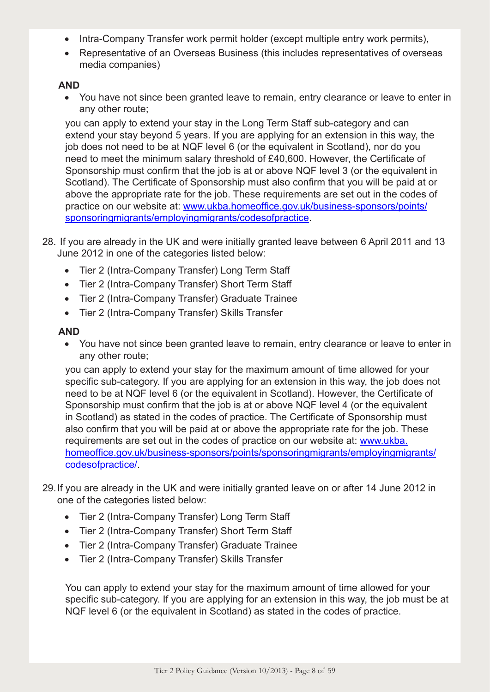- Intra-Company Transfer work permit holder (except multiple entry work permits),
- Representative of an Overseas Business (this includes representatives of overseas media companies)

#### **AND**

• You have not since been granted leave to remain, entry clearance or leave to enter in any other route;

you can apply to extend your stay in the Long Term Staff sub-category and can extend your stay beyond 5 years. If you are applying for an extension in this way, the job does not need to be at NQF level 6 (or the equivalent in Scotland), nor do you need to meet the minimum salary threshold of £40,600. However, the Certificate of Sponsorship must confirm that the job is at or above NQF level 3 (or the equivalent in Scotland). The Certificate of Sponsorship must also confirm that you will be paid at or above the appropriate rate for the job. These requirements are set out in the codes of practice on our website at: www.ukba.homeoffice.gov.uk/business-sponsors/points/ sponsoringmigrants/employingmigrants/codesofpractice.

- 28. If you are already in the UK and were initially granted leave between 6 April 2011 and 13 June 2012 in one of the categories listed below:
	- Tier 2 (Intra-Company Transfer) Long Term Staff
	- Tier 2 (Intra-Company Transfer) Short Term Staff
	- Tier 2 (Intra-Company Transfer) Graduate Trainee
	- • Tier 2 (Intra-Company Transfer) Skills Transfer

#### **AND**

• You have not since been granted leave to remain, entry clearance or leave to enter in any other route;

you can apply to extend your stay for the maximum amount of time allowed for your specific sub-category. If you are applying for an extension in this way, the job does not need to be at NQF level 6 (or the equivalent in Scotland). However, the Certificate of Sponsorship must confirm that the job is at or above NQF level 4 (or the equivalent in Scotland) as stated in the codes of practice. The Certificate of Sponsorship must also confirm that you will be paid at or above the appropriate rate for the job. These requirements are set out in the codes of practice on our website at: www.ukba. homeoffice.gov.uk/business-sponsors/points/sponsoringmigrants/employingmigrants/ codesofpractice/.

- 29.If you are already in the UK and were initially granted leave on or after 14 June 2012 in one of the categories listed below:
	- Tier 2 (Intra-Company Transfer) Long Term Staff
	- Tier 2 (Intra-Company Transfer) Short Term Staff
	- Tier 2 (Intra-Company Transfer) Graduate Trainee
	- Tier 2 (Intra-Company Transfer) Skills Transfer

You can apply to extend your stay for the maximum amount of time allowed for your specific sub-category. If you are applying for an extension in this way, the job must be at NQF level 6 (or the equivalent in Scotland) as stated in the codes of practice.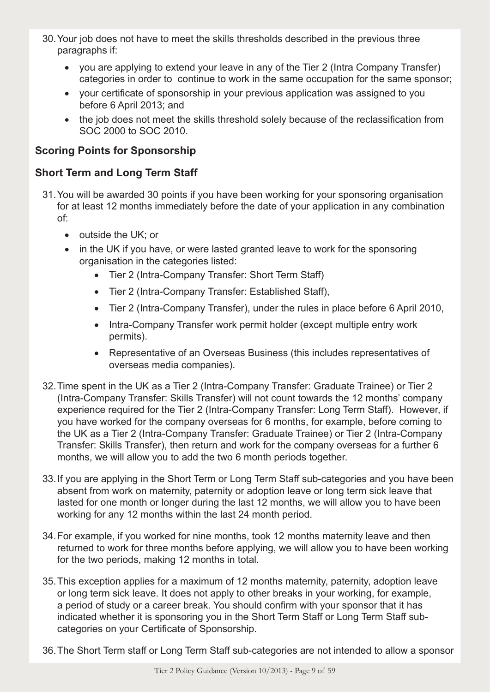- 30.Your job does not have to meet the skills thresholds described in the previous three paragraphs if:
	- you are applying to extend your leave in any of the Tier 2 (Intra Company Transfer) categories in order to continue to work in the same occupation for the same sponsor;
	- your certificate of sponsorship in your previous application was assigned to you before 6 April 2013; and
	- the job does not meet the skills threshold solely because of the reclassification from SOC 2000 to SOC 2010.

# **Scoring Points for Sponsorship**

#### **Short Term and Long Term Staff**

- 31.You will be awarded 30 points if you have been working for your sponsoring organisation for at least 12 months immediately before the date of your application in any combination of:
	- outside the UK; or
	- in the UK if you have, or were lasted granted leave to work for the sponsoring organisation in the categories listed:
		- Tier 2 (Intra-Company Transfer: Short Term Staff)
		- Tier 2 (Intra-Company Transfer: Established Staff),
		- Tier 2 (Intra-Company Transfer), under the rules in place before 6 April 2010,
		- Intra-Company Transfer work permit holder (except multiple entry work permits).
		- Representative of an Overseas Business (this includes representatives of overseas media companies).
- 32.Time spent in the UK as a Tier 2 (Intra-Company Transfer: Graduate Trainee) or Tier 2 (Intra-Company Transfer: Skills Transfer) will not count towards the 12 months' company experience required for the Tier 2 (Intra-Company Transfer: Long Term Staff). However, if you have worked for the company overseas for 6 months, for example, before coming to the UK as a Tier 2 (Intra-Company Transfer: Graduate Trainee) or Tier 2 (Intra-Company Transfer: Skills Transfer), then return and work for the company overseas for a further 6 months, we will allow you to add the two 6 month periods together.
- 33.If you are applying in the Short Term or Long Term Staff sub-categories and you have been absent from work on maternity, paternity or adoption leave or long term sick leave that lasted for one month or longer during the last 12 months, we will allow you to have been working for any 12 months within the last 24 month period.
- 34.For example, if you worked for nine months, took 12 months maternity leave and then returned to work for three months before applying, we will allow you to have been working for the two periods, making 12 months in total.
- 35.This exception applies for a maximum of 12 months maternity, paternity, adoption leave or long term sick leave. It does not apply to other breaks in your working, for example, a period of study or a career break. You should confirm with your sponsor that it has indicated whether it is sponsoring you in the Short Term Staff or Long Term Staff subcategories on your Certificate of Sponsorship.
- 36.The Short Term staff or Long Term Staff sub-categories are not intended to allow a sponsor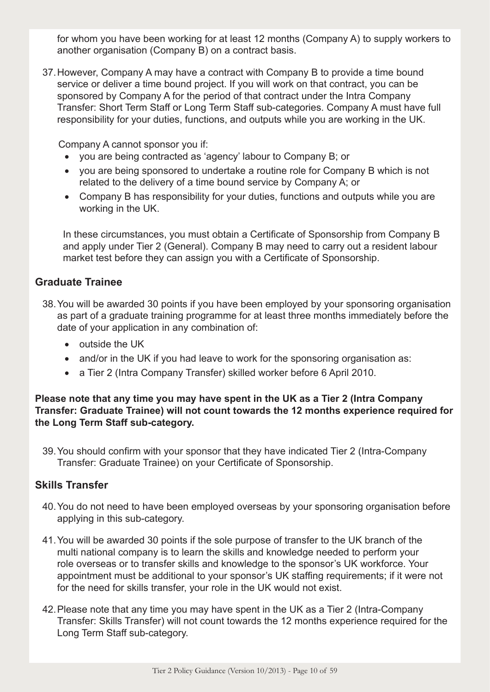for whom you have been working for at least 12 months (Company A) to supply workers to another organisation (Company B) on a contract basis.

37.However, Company A may have a contract with Company B to provide a time bound service or deliver a time bound project. If you will work on that contract, you can be sponsored by Company A for the period of that contract under the Intra Company Transfer: Short Term Staff or Long Term Staff sub-categories. Company A must have full responsibility for your duties, functions, and outputs while you are working in the UK.

Company A cannot sponsor you if:

- you are being contracted as 'agency' labour to Company B; or
- vou are being sponsored to undertake a routine role for Company B which is not related to the delivery of a time bound service by Company A; or
- Company B has responsibility for your duties, functions and outputs while you are working in the UK.

In these circumstances, you must obtain a Certificate of Sponsorship from Company B and apply under Tier 2 (General). Company B may need to carry out a resident labour market test before they can assign you with a Certificate of Sponsorship.

#### **Graduate Trainee**

- 38.You will be awarded 30 points if you have been employed by your sponsoring organisation as part of a graduate training programme for at least three months immediately before the date of your application in any combination of:
	- outside the UK
	- and/or in the UK if you had leave to work for the sponsoring organisation as:
	- a Tier 2 (Intra Company Transfer) skilled worker before 6 April 2010.

**Please note that any time you may have spent in the UK as a Tier 2 (Intra Company Transfer: Graduate Trainee) will not count towards the 12 months experience required for the Long Term Staff sub-category.**

39.You should confirm with your sponsor that they have indicated Tier 2 (Intra-Company Transfer: Graduate Trainee) on your Certificate of Sponsorship.

#### **Skills Transfer**

- 40.You do not need to have been employed overseas by your sponsoring organisation before applying in this sub-category.
- 41.You will be awarded 30 points if the sole purpose of transfer to the UK branch of the multi national company is to learn the skills and knowledge needed to perform your role overseas or to transfer skills and knowledge to the sponsor's UK workforce. Your appointment must be additional to your sponsor's UK staffing requirements; if it were not for the need for skills transfer, your role in the UK would not exist.
- 42.Please note that any time you may have spent in the UK as a Tier 2 (Intra-Company Transfer: Skills Transfer) will not count towards the 12 months experience required for the Long Term Staff sub-category.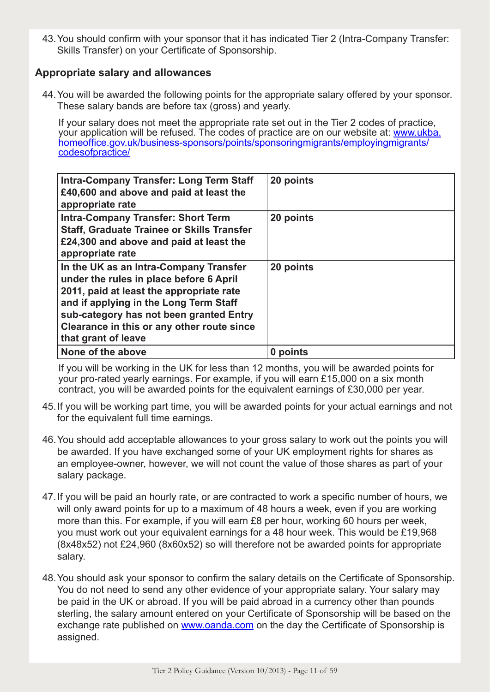43.You should confirm with your sponsor that it has indicated Tier 2 (Intra-Company Transfer: Skills Transfer) on your Certificate of Sponsorship.

#### **Appropriate salary and allowances**

44.You will be awarded the following points for the appropriate salary offered by your sponsor. These salary bands are before tax (gross) and yearly.

If your salary does not meet the appropriate rate set out in the Tier 2 codes of practice, your application will be refused. The codes of practice are on our website at: www.ukba. homeoffice.gov.uk/business-sponsors/points/sponsoringmigrants/employingmigrants/ codesofpractice/

| <b>Intra-Company Transfer: Long Term Staff</b><br>£40,600 and above and paid at least the<br>appropriate rate                                                                                                                                                                           | 20 points |
|-----------------------------------------------------------------------------------------------------------------------------------------------------------------------------------------------------------------------------------------------------------------------------------------|-----------|
| <b>Intra-Company Transfer: Short Term</b><br><b>Staff, Graduate Trainee or Skills Transfer</b><br>£24,300 and above and paid at least the<br>appropriate rate                                                                                                                           | 20 points |
| In the UK as an Intra-Company Transfer<br>under the rules in place before 6 April<br>2011, paid at least the appropriate rate<br>and if applying in the Long Term Staff<br>sub-category has not been granted Entry<br>Clearance in this or any other route since<br>that grant of leave | 20 points |
| None of the above                                                                                                                                                                                                                                                                       | 0 points  |

If you will be working in the UK for less than 12 months, you will be awarded points for your pro-rated yearly earnings. For example, if you will earn £15,000 on a six month contract, you will be awarded points for the equivalent earnings of £30,000 per year.

- 45.If you will be working part time, you will be awarded points for your actual earnings and not for the equivalent full time earnings.
- 46.You should add acceptable allowances to your gross salary to work out the points you will be awarded. If you have exchanged some of your UK employment rights for shares as an employee-owner, however, we will not count the value of those shares as part of your salary package.
- 47.If you will be paid an hourly rate, or are contracted to work a specific number of hours, we will only award points for up to a maximum of 48 hours a week, even if you are working more than this. For example, if you will earn £8 per hour, working 60 hours per week, you must work out your equivalent earnings for a 48 hour week. This would be £19,968 (8x48x52) not £24,960 (8x60x52) so will therefore not be awarded points for appropriate salary.
- 48.You should ask your sponsor to confirm the salary details on the Certificate of Sponsorship. You do not need to send any other evidence of your appropriate salary. Your salary may be paid in the UK or abroad. If you will be paid abroad in a currency other than pounds sterling, the salary amount entered on your Certificate of Sponsorship will be based on the exchange rate published on www.oanda.com on the day the Certificate of Sponsorship is assigned.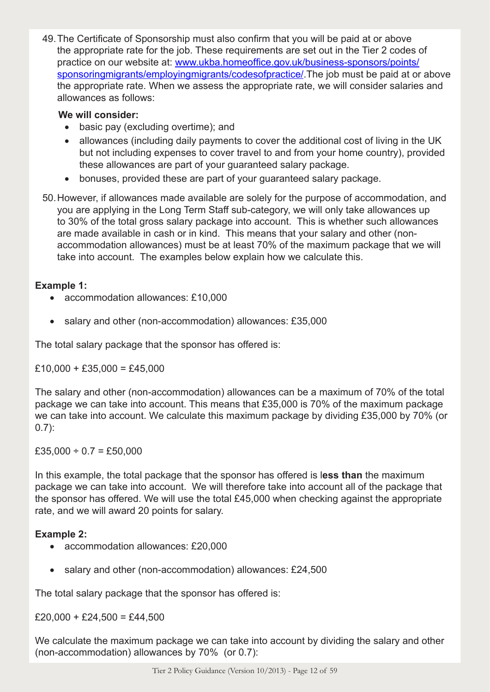49.The Certificate of Sponsorship must also confirm that you will be paid at or above the appropriate rate for the job. These requirements are set out in the Tier 2 codes of practice on our website at: www.ukba.homeoffice.gov.uk/business-sponsors/points/ sponsoringmigrants/employingmigrants/codesofpractice/.The job must be paid at or above the appropriate rate. When we assess the appropriate rate, we will consider salaries and allowances as follows:

#### **We will consider:**

- basic pay (excluding overtime); and
- allowances (including daily payments to cover the additional cost of living in the UK but not including expenses to cover travel to and from your home country), provided these allowances are part of your guaranteed salary package.
- bonuses, provided these are part of your guaranteed salary package.
- 50.However, if allowances made available are solely for the purpose of accommodation, and you are applying in the Long Term Staff sub-category, we will only take allowances up to 30% of the total gross salary package into account. This is whether such allowances are made available in cash or in kind. This means that your salary and other (nonaccommodation allowances) must be at least 70% of the maximum package that we will take into account. The examples below explain how we calculate this.

#### **Example 1:**

- accommodation allowances: £10,000
- salary and other (non-accommodation) allowances: £35,000

The total salary package that the sponsor has offered is:

 $£10,000 + £35,000 = £45,000$ 

The salary and other (non-accommodation) allowances can be a maximum of 70% of the total package we can take into account. This means that £35,000 is 70% of the maximum package we can take into account. We calculate this maximum package by dividing £35,000 by 70% (or 0.7):

 $£35,000 \div 0.7 = £50,000$ 

In this example, the total package that the sponsor has offered is l**ess than** the maximum package we can take into account. We will therefore take into account all of the package that the sponsor has offered. We will use the total £45,000 when checking against the appropriate rate, and we will award 20 points for salary.

#### **Example 2:**

- accommodation allowances: £20,000
- salary and other (non-accommodation) allowances: £24,500

The total salary package that the sponsor has offered is:

 $£20,000 + £24,500 = £44,500$ 

We calculate the maximum package we can take into account by dividing the salary and other (non-accommodation) allowances by 70% (or 0.7):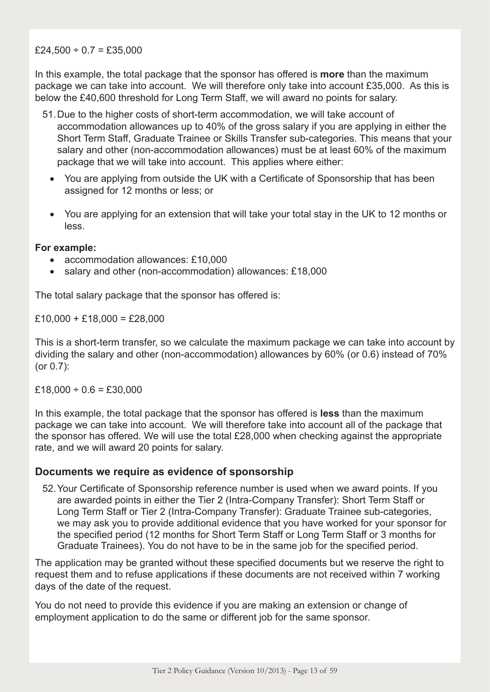#### $£24,500 \div 0.7 = £35,000$

In this example, the total package that the sponsor has offered is **more** than the maximum package we can take into account. We will therefore only take into account £35,000. As this is below the £40,600 threshold for Long Term Staff, we will award no points for salary.

- 51.Due to the higher costs of short-term accommodation, we will take account of accommodation allowances up to 40% of the gross salary if you are applying in either the Short Term Staff, Graduate Trainee or Skills Transfer sub-categories. This means that your salary and other (non-accommodation allowances) must be at least 60% of the maximum package that we will take into account. This applies where either:
	- You are applying from outside the UK with a Certificate of Sponsorship that has been assigned for 12 months or less; or
	- You are applying for an extension that will take your total stay in the UK to 12 months or less.

#### **For example:**

- accommodation allowances: £10,000
- salary and other (non-accommodation) allowances: £18,000

The total salary package that the sponsor has offered is:

 $£10,000 + £18,000 = £28,000$ 

This is a short-term transfer, so we calculate the maximum package we can take into account by dividing the salary and other (non-accommodation) allowances by 60% (or 0.6) instead of 70% (or 0.7):

 $£18,000 \div 0.6 = £30,000$ 

In this example, the total package that the sponsor has offered is **less** than the maximum package we can take into account. We will therefore take into account all of the package that the sponsor has offered. We will use the total £28,000 when checking against the appropriate rate, and we will award 20 points for salary.

#### **Documents we require as evidence of sponsorship**

52.Your Certificate of Sponsorship reference number is used when we award points. If you are awarded points in either the Tier 2 (Intra-Company Transfer): Short Term Staff or Long Term Staff or Tier 2 (Intra-Company Transfer): Graduate Trainee sub-categories, we may ask you to provide additional evidence that you have worked for your sponsor for the specified period (12 months for Short Term Staff or Long Term Staff or 3 months for Graduate Trainees). You do not have to be in the same job for the specified period.

The application may be granted without these specified documents but we reserve the right to request them and to refuse applications if these documents are not received within 7 working days of the date of the request.

You do not need to provide this evidence if you are making an extension or change of employment application to do the same or different job for the same sponsor.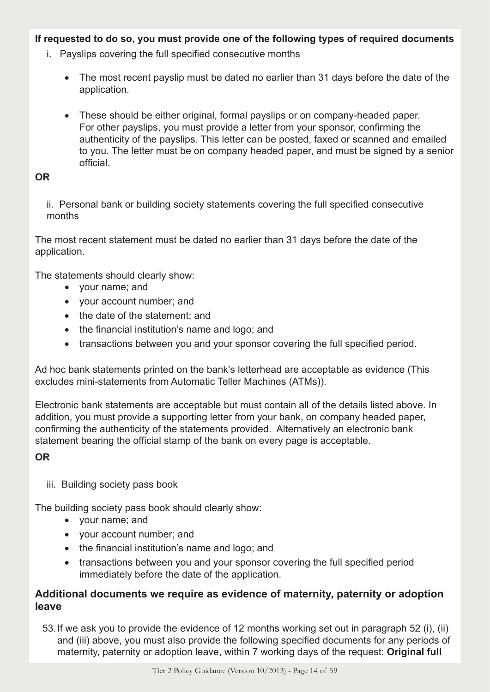#### **If requested to do so, you must provide one of the following types of required documents**

- i. Payslips covering the full specified consecutive months
	- The most recent payslip must be dated no earlier than 31 days before the date of the application.
	- These should be either original, formal payslips or on company-headed paper. For other payslips, you must provide a letter from your sponsor, confirming the authenticity of the payslips. This letter can be posted, faxed or scanned and emailed to you. The letter must be on company headed paper, and must be signed by a senior official.

#### **OR**

ii. Personal bank or building society statements covering the full specified consecutive months

The most recent statement must be dated no earlier than 31 days before the date of the application.

The statements should clearly show:

- • your name; and
- • your account number; and
- the date of the statement; and
- the financial institution's name and logo; and
- transactions between you and your sponsor covering the full specified period.

Ad hoc bank statements printed on the bank's letterhead are acceptable as evidence (This excludes mini-statements from Automatic Teller Machines (ATMs)).

Electronic bank statements are acceptable but must contain all of the details listed above. In addition, you must provide a supporting letter from your bank, on company headed paper, confirming the authenticity of the statements provided. Alternatively an electronic bank statement bearing the official stamp of the bank on every page is acceptable.

# **OR**

iii. Building society pass book

The building society pass book should clearly show:

- • your name; and
- • your account number; and
- the financial institution's name and logo; and
- transactions between you and your sponsor covering the full specified period immediately before the date of the application.

# **Additional documents we require as evidence of maternity, paternity or adoption leave**

53.If we ask you to provide the evidence of 12 months working set out in paragraph 52 (i), (ii) and (iii) above, you must also provide the following specified documents for any periods of maternity, paternity or adoption leave, within 7 working days of the request: **Original full**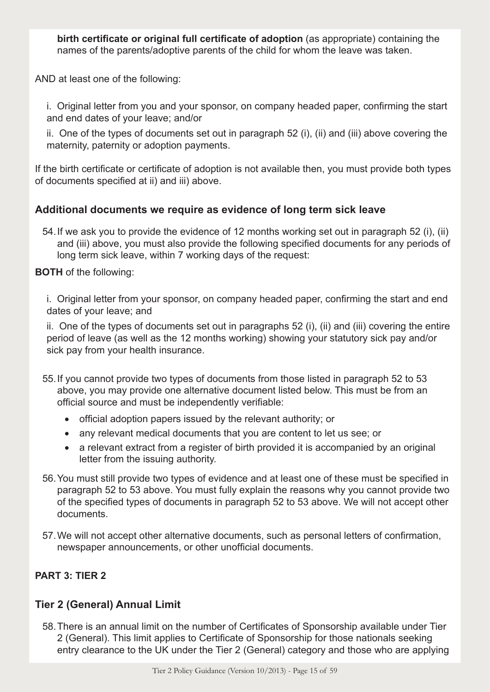**birth certificate or original full certificate of adoption** (as appropriate) containing the names of the parents/adoptive parents of the child for whom the leave was taken.

AND at least one of the following:

i. Original letter from you and your sponsor, on company headed paper, confirming the start and end dates of your leave; and/or

ii. One of the types of documents set out in paragraph 52 (i), (ii) and (iii) above covering the maternity, paternity or adoption payments.

If the birth certificate or certificate of adoption is not available then, you must provide both types of documents specified at ii) and iii) above.

#### **Additional documents we require as evidence of long term sick leave**

54.If we ask you to provide the evidence of 12 months working set out in paragraph 52 (i), (ii) and (iii) above, you must also provide the following specified documents for any periods of long term sick leave, within 7 working days of the request:

**BOTH** of the following:

i. Original letter from your sponsor, on company headed paper, confirming the start and end dates of your leave; and

ii. One of the types of documents set out in paragraphs 52 (i), (ii) and (iii) covering the entire period of leave (as well as the 12 months working) showing your statutory sick pay and/or sick pay from your health insurance.

- 55.If you cannot provide two types of documents from those listed in paragraph 52 to 53 above, you may provide one alternative document listed below. This must be from an official source and must be independently verifiable:
	- official adoption papers issued by the relevant authority; or
	- any relevant medical documents that you are content to let us see; or
	- a relevant extract from a register of birth provided it is accompanied by an original letter from the issuing authority.
- 56.You must still provide two types of evidence and at least one of these must be specified in paragraph 52 to 53 above. You must fully explain the reasons why you cannot provide two of the specified types of documents in paragraph 52 to 53 above. We will not accept other documents.
- 57.We will not accept other alternative documents, such as personal letters of confirmation, newspaper announcements, or other unofficial documents.

# **PART 3: TIER 2**

# **Tier 2 (General) Annual Limit**

58.There is an annual limit on the number of Certificates of Sponsorship available under Tier 2 (General). This limit applies to Certificate of Sponsorship for those nationals seeking entry clearance to the UK under the Tier 2 (General) category and those who are applying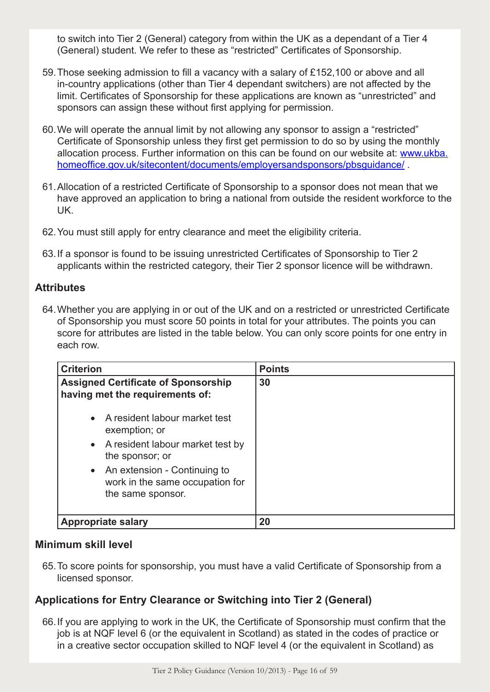to switch into Tier 2 (General) category from within the UK as a dependant of a Tier 4 (General) student. We refer to these as "restricted" Certificates of Sponsorship.

- 59.Those seeking admission to fill a vacancy with a salary of £152,100 or above and all in-country applications (other than Tier 4 dependant switchers) are not affected by the limit. Certificates of Sponsorship for these applications are known as "unrestricted" and sponsors can assign these without first applying for permission.
- 60.We will operate the annual limit by not allowing any sponsor to assign a "restricted" Certificate of Sponsorship unless they first get permission to do so by using the monthly allocation process. Further information on this can be found on our website at: www.ukba. homeoffice.gov.uk/sitecontent/documents/employersandsponsors/pbsquidance/.
- 61.Allocation of a restricted Certificate of Sponsorship to a sponsor does not mean that we have approved an application to bring a national from outside the resident workforce to the UK.
- 62.You must still apply for entry clearance and meet the eligibility criteria.
- 63.If a sponsor is found to be issuing unrestricted Certificates of Sponsorship to Tier 2 applicants within the restricted category, their Tier 2 sponsor licence will be withdrawn.

# **Attributes**

64.Whether you are applying in or out of the UK and on a restricted or unrestricted Certificate of Sponsorship you must score 50 points in total for your attributes. The points you can score for attributes are listed in the table below. You can only score points for one entry in each row.

| <b>Criterion</b>                                                                       | <b>Points</b> |
|----------------------------------------------------------------------------------------|---------------|
| <b>Assigned Certificate of Sponsorship</b><br>having met the requirements of:          | 30            |
| • A resident labour market test<br>exemption; or                                       |               |
| • A resident labour market test by<br>the sponsor; or                                  |               |
| • An extension - Continuing to<br>work in the same occupation for<br>the same sponsor. |               |
| <b>Appropriate salary</b>                                                              | 20            |

# **Minimum skill level**

65.To score points for sponsorship, you must have a valid Certificate of Sponsorship from a licensed sponsor.

# **Applications for Entry Clearance or Switching into Tier 2 (General)**

66.If you are applying to work in the UK, the Certificate of Sponsorship must confirm that the job is at NQF level 6 (or the equivalent in Scotland) as stated in the codes of practice or in a creative sector occupation skilled to NQF level 4 (or the equivalent in Scotland) as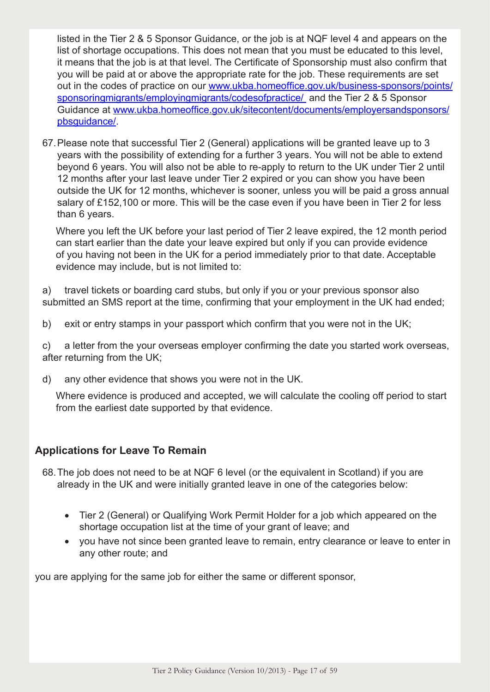listed in the Tier 2 & 5 Sponsor Guidance, or the job is at NQF level 4 and appears on the list of shortage occupations. This does not mean that you must be educated to this level, it means that the job is at that level. The Certificate of Sponsorship must also confirm that you will be paid at or above the appropriate rate for the job. These requirements are set out in the codes of practice on our www.ukba.homeoffice.gov.uk/business-sponsors/points/ sponsoringmigrants/employingmigrants/codesofpractice/ and the Tier 2 & 5 Sponsor Guidance at www.ukba.homeoffice.gov.uk/sitecontent/documents/employersandsponsors/ pbsguidance/.

67.Please note that successful Tier 2 (General) applications will be granted leave up to 3 years with the possibility of extending for a further 3 years. You will not be able to extend beyond 6 years. You will also not be able to re-apply to return to the UK under Tier 2 until 12 months after your last leave under Tier 2 expired or you can show you have been outside the UK for 12 months, whichever is sooner, unless you will be paid a gross annual salary of £152,100 or more. This will be the case even if you have been in Tier 2 for less than 6 years.

Where you left the UK before your last period of Tier 2 leave expired, the 12 month period can start earlier than the date your leave expired but only if you can provide evidence of you having not been in the UK for a period immediately prior to that date. Acceptable evidence may include, but is not limited to:

a) travel tickets or boarding card stubs, but only if you or your previous sponsor also submitted an SMS report at the time, confirming that your employment in the UK had ended;

b) exit or entry stamps in your passport which confirm that you were not in the UK;

c) a letter from the your overseas employer confirming the date you started work overseas, after returning from the UK;

d) any other evidence that shows you were not in the UK.

Where evidence is produced and accepted, we will calculate the cooling off period to start from the earliest date supported by that evidence.

# **Applications for Leave To Remain**

- 68.The job does not need to be at NQF 6 level (or the equivalent in Scotland) if you are already in the UK and were initially granted leave in one of the categories below:
	- Tier 2 (General) or Qualifying Work Permit Holder for a job which appeared on the shortage occupation list at the time of your grant of leave; and
	- you have not since been granted leave to remain, entry clearance or leave to enter in any other route; and

you are applying for the same job for either the same or different sponsor,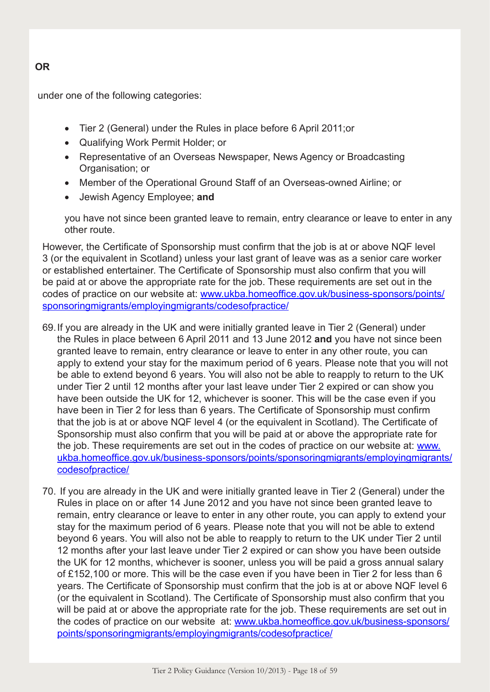# under one of the following categories:

- Tier 2 (General) under the Rules in place before 6 April 2011; or
- • Qualifying Work Permit Holder; or
- Representative of an Overseas Newspaper, News Agency or Broadcasting Organisation; or
- Member of the Operational Ground Staff of an Overseas-owned Airline; or
- • Jewish Agency Employee; **and**

you have not since been granted leave to remain, entry clearance or leave to enter in any other route.

However, the Certificate of Sponsorship must confirm that the job is at or above NQF level 3 (or the equivalent in Scotland) unless your last grant of leave was as a senior care worker or established entertainer. The Certificate of Sponsorship must also confirm that you will be paid at or above the appropriate rate for the job. These requirements are set out in the codes of practice on our website at: www.ukba.homeoffice.gov.uk/business-sponsors/points/ sponsoringmigrants/employingmigrants/codesofpractice/

- 69.If you are already in the UK and were initially granted leave in Tier 2 (General) under the Rules in place between 6 April 2011 and 13 June 2012 **and** you have not since been granted leave to remain, entry clearance or leave to enter in any other route, you can apply to extend your stay for the maximum period of 6 years. Please note that you will not be able to extend beyond 6 years. You will also not be able to reapply to return to the UK under Tier 2 until 12 months after your last leave under Tier 2 expired or can show you have been outside the UK for 12, whichever is sooner. This will be the case even if you have been in Tier 2 for less than 6 years. The Certificate of Sponsorship must confirm that the job is at or above NQF level 4 (or the equivalent in Scotland). The Certificate of Sponsorship must also confirm that you will be paid at or above the appropriate rate for the job. These requirements are set out in the codes of practice on our website at: www. ukba.homeoffice.gov.uk/business-sponsors/points/sponsoringmigrants/employingmigrants/ codesofpractice/
- 70. If you are already in the UK and were initially granted leave in Tier 2 (General) under the Rules in place on or after 14 June 2012 and you have not since been granted leave to remain, entry clearance or leave to enter in any other route, you can apply to extend your stay for the maximum period of 6 years. Please note that you will not be able to extend beyond 6 years. You will also not be able to reapply to return to the UK under Tier 2 until 12 months after your last leave under Tier 2 expired or can show you have been outside the UK for 12 months, whichever is sooner, unless you will be paid a gross annual salary of £152,100 or more. This will be the case even if you have been in Tier 2 for less than 6 years. The Certificate of Sponsorship must confirm that the job is at or above NQF level 6 (or the equivalent in Scotland). The Certificate of Sponsorship must also confirm that you will be paid at or above the appropriate rate for the job. These requirements are set out in the codes of practice on our website at: www.ukba.homeoffice.gov.uk/business-sponsors/ points/sponsoringmigrants/employingmigrants/codesofpractice/

# **OR**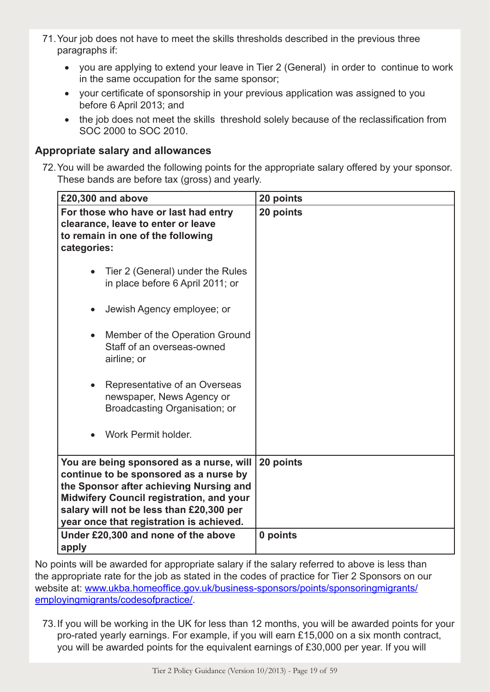- 71.Your job does not have to meet the skills thresholds described in the previous three paragraphs if:
	- you are applying to extend your leave in Tier 2 (General) in order to continue to work in the same occupation for the same sponsor;
	- your certificate of sponsorship in your previous application was assigned to you before 6 April 2013; and
	- the job does not meet the skills threshold solely because of the reclassification from SOC 2000 to SOC 2010.

# **Appropriate salary and allowances**

72.You will be awarded the following points for the appropriate salary offered by your sponsor. These bands are before tax (gross) and yearly.

| £20,300 and above                                                                                                                                                                                                                                                        | 20 points |
|--------------------------------------------------------------------------------------------------------------------------------------------------------------------------------------------------------------------------------------------------------------------------|-----------|
| For those who have or last had entry<br>clearance, leave to enter or leave<br>to remain in one of the following<br>categories:                                                                                                                                           | 20 points |
| Tier 2 (General) under the Rules<br>in place before 6 April 2011; or                                                                                                                                                                                                     |           |
| Jewish Agency employee; or<br>$\bullet$                                                                                                                                                                                                                                  |           |
| Member of the Operation Ground<br>Staff of an overseas-owned<br>airline; or                                                                                                                                                                                              |           |
| Representative of an Overseas<br>$\bullet$<br>newspaper, News Agency or<br>Broadcasting Organisation; or                                                                                                                                                                 |           |
| Work Permit holder.                                                                                                                                                                                                                                                      |           |
| You are being sponsored as a nurse, will<br>continue to be sponsored as a nurse by<br>the Sponsor after achieving Nursing and<br><b>Midwifery Council registration, and your</b><br>salary will not be less than £20,300 per<br>year once that registration is achieved. | 20 points |
| Under £20,300 and none of the above<br>apply                                                                                                                                                                                                                             | 0 points  |

No points will be awarded for appropriate salary if the salary referred to above is less than the appropriate rate for the job as stated in the codes of practice for Tier 2 Sponsors on our website at: www.ukba.homeoffice.gov.uk/business-sponsors/points/sponsoringmigrants/ employingmigrants/codesofpractice/.

73.If you will be working in the UK for less than 12 months, you will be awarded points for your pro-rated yearly earnings. For example, if you will earn £15,000 on a six month contract, you will be awarded points for the equivalent earnings of £30,000 per year. If you will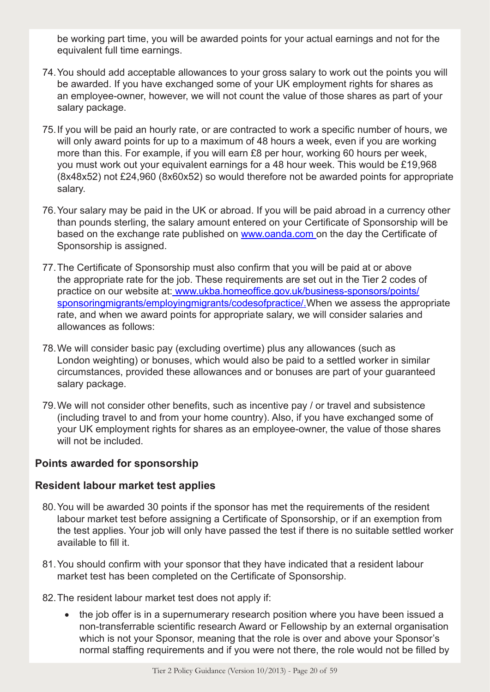be working part time, you will be awarded points for your actual earnings and not for the equivalent full time earnings.

- 74.You should add acceptable allowances to your gross salary to work out the points you will be awarded. If you have exchanged some of your UK employment rights for shares as an employee-owner, however, we will not count the value of those shares as part of your salary package.
- 75.If you will be paid an hourly rate, or are contracted to work a specific number of hours, we will only award points for up to a maximum of 48 hours a week, even if you are working more than this. For example, if you will earn £8 per hour, working 60 hours per week, you must work out your equivalent earnings for a 48 hour week. This would be £19,968 (8x48x52) not £24,960 (8x60x52) so would therefore not be awarded points for appropriate salary.
- 76.Your salary may be paid in the UK or abroad. If you will be paid abroad in a currency other than pounds sterling, the salary amount entered on your Certificate of Sponsorship will be based on the exchange rate published on www.oanda.com on the day the Certificate of Sponsorship is assigned.
- 77.The Certificate of Sponsorship must also confirm that you will be paid at or above the appropriate rate for the job. These requirements are set out in the Tier 2 codes of practice on our website at: www.ukba.homeoffice.gov.uk/business-sponsors/points/ sponsoringmigrants/employingmigrants/codesofpractice/. When we assess the appropriate rate, and when we award points for appropriate salary, we will consider salaries and allowances as follows:
- 78.We will consider basic pay (excluding overtime) plus any allowances (such as London weighting) or bonuses, which would also be paid to a settled worker in similar circumstances, provided these allowances and or bonuses are part of your guaranteed salary package.
- 79.We will not consider other benefits, such as incentive pay / or travel and subsistence (including travel to and from your home country). Also, if you have exchanged some of your UK employment rights for shares as an employee-owner, the value of those shares will not be included.

#### **Points awarded for sponsorship**

#### **Resident labour market test applies**

- 80.You will be awarded 30 points if the sponsor has met the requirements of the resident labour market test before assigning a Certificate of Sponsorship, or if an exemption from the test applies. Your job will only have passed the test if there is no suitable settled worker available to fill it.
- 81.You should confirm with your sponsor that they have indicated that a resident labour market test has been completed on the Certificate of Sponsorship.
- 82.The resident labour market test does not apply if:
	- the job offer is in a supernumerary research position where you have been issued a non-transferrable scientific research Award or Fellowship by an external organisation which is not your Sponsor, meaning that the role is over and above your Sponsor's normal staffing requirements and if you were not there, the role would not be filled by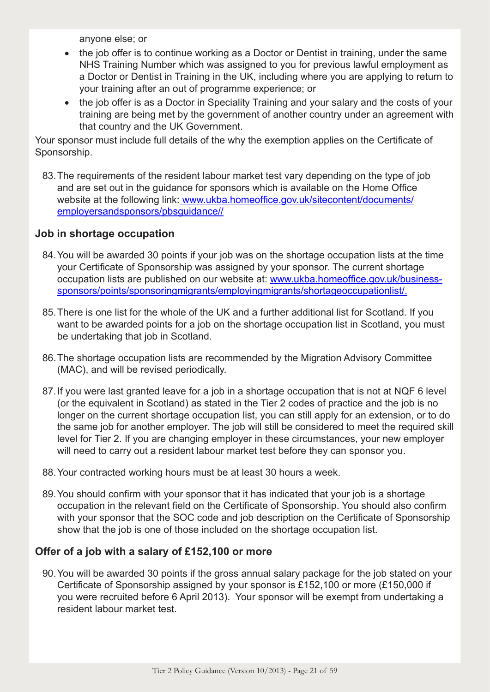anyone else; or

- the job offer is to continue working as a Doctor or Dentist in training, under the same NHS Training Number which was assigned to you for previous lawful employment as a Doctor or Dentist in Training in the UK, including where you are applying to return to your training after an out of programme experience; or
- the job offer is as a Doctor in Speciality Training and your salary and the costs of your training are being met by the government of another country under an agreement with that country and the UK Government.

Your sponsor must include full details of the why the exemption applies on the Certificate of Sponsorship.

83.The requirements of the resident labour market test vary depending on the type of job and are set out in the guidance for sponsors which is available on the Home Office website at the following link: www.ukba.homeoffice.gov.uk/sitecontent/documents/ employersandsponsors/pbsguidance//

# **Job in shortage occupation**

- 84.You will be awarded 30 points if your job was on the shortage occupation lists at the time your Certificate of Sponsorship was assigned by your sponsor. The current shortage occupation lists are published on our website at: www.ukba.homeoffice.gov.uk/businesssponsors/points/sponsoringmigrants/employingmigrants/shortageoccupationlist/.
- 85.There is one list for the whole of the UK and a further additional list for Scotland. If you want to be awarded points for a job on the shortage occupation list in Scotland, you must be undertaking that job in Scotland.
- 86.The shortage occupation lists are recommended by the Migration Advisory Committee (MAC), and will be revised periodically.
- 87. If you were last granted leave for a job in a shortage occupation that is not at NQF 6 level (or the equivalent in Scotland) as stated in the Tier 2 codes of practice and the job is no longer on the current shortage occupation list, you can still apply for an extension, or to do the same job for another employer. The job will still be considered to meet the required skill level for Tier 2. If you are changing employer in these circumstances, your new employer will need to carry out a resident labour market test before they can sponsor you.
- 88.Your contracted working hours must be at least 30 hours a week.
- 89.You should confirm with your sponsor that it has indicated that your job is a shortage occupation in the relevant field on the Certificate of Sponsorship. You should also confirm with your sponsor that the SOC code and job description on the Certificate of Sponsorship show that the job is one of those included on the shortage occupation list.

#### **Offer of a job with a salary of £152,100 or more**

90.You will be awarded 30 points if the gross annual salary package for the job stated on your Certificate of Sponsorship assigned by your sponsor is £152,100 or more (£150,000 if you were recruited before 6 April 2013). Your sponsor will be exempt from undertaking a resident labour market test.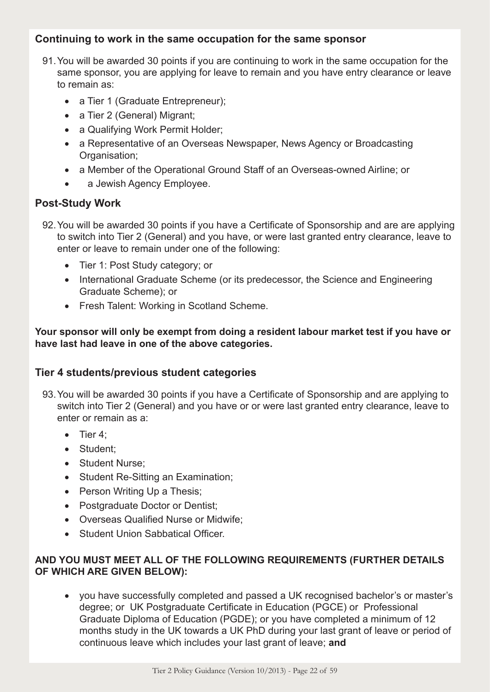# **Continuing to work in the same occupation for the same sponsor**

- 91.You will be awarded 30 points if you are continuing to work in the same occupation for the same sponsor, you are applying for leave to remain and you have entry clearance or leave to remain as:
	- a Tier 1 (Graduate Entrepreneur);
	- a Tier 2 (General) Migrant;
	- a Qualifying Work Permit Holder;
	- a Representative of an Overseas Newspaper, News Agency or Broadcasting Organisation;
	- a Member of the Operational Ground Staff of an Overseas-owned Airline; or
	- a Jewish Agency Employee.

#### **Post-Study Work**

- 92.You will be awarded 30 points if you have a Certificate of Sponsorship and are are applying to switch into Tier 2 (General) and you have, or were last granted entry clearance, leave to enter or leave to remain under one of the following:
	- Tier 1: Post Study category; or
	- International Graduate Scheme (or its predecessor, the Science and Engineering Graduate Scheme); or
	- Fresh Talent: Working in Scotland Scheme.

**Your sponsor will only be exempt from doing a resident labour market test if you have or have last had leave in one of the above categories.**

# **Tier 4 students/previous student categories**

- 93.You will be awarded 30 points if you have a Certificate of Sponsorship and are applying to switch into Tier 2 (General) and you have or or were last granted entry clearance, leave to enter or remain as a:
	- Tier 4:
	- Student:
	- Student Nurse;
	- Student Re-Sitting an Examination;
	- Person Writing Up a Thesis;
	- Postgraduate Doctor or Dentist;
	- • Overseas Qualified Nurse or Midwife;
	- Student Union Sabbatical Officer.

#### **AND YOU MUST MEET ALL OF THE FOLLOWING REQUIREMENTS (FURTHER DETAILS OF WHICH ARE GIVEN BELOW):**

• you have successfully completed and passed a UK recognised bachelor's or master's degree; or UK Postgraduate Certificate in Education (PGCE) or Professional Graduate Diploma of Education (PGDE); or you have completed a minimum of 12 months study in the UK towards a UK PhD during your last grant of leave or period of continuous leave which includes your last grant of leave; **and**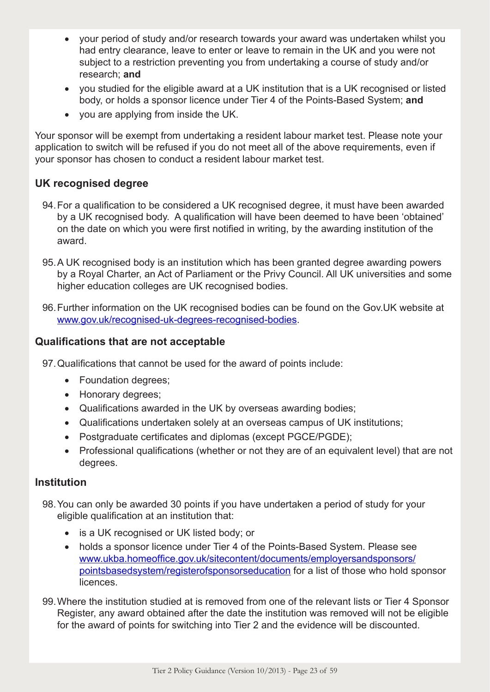- your period of study and/or research towards your award was undertaken whilst you had entry clearance, leave to enter or leave to remain in the UK and you were not subject to a restriction preventing you from undertaking a course of study and/or research; **and**
- you studied for the eligible award at a UK institution that is a UK recognised or listed body, or holds a sponsor licence under Tier 4 of the Points-Based System; **and**
- • you are applying from inside the UK.

Your sponsor will be exempt from undertaking a resident labour market test. Please note your application to switch will be refused if you do not meet all of the above requirements, even if your sponsor has chosen to conduct a resident labour market test.

# **UK recognised degree**

- 94.For a qualification to be considered a UK recognised degree, it must have been awarded by a UK recognised body. A qualification will have been deemed to have been 'obtained' on the date on which you were first notified in writing, by the awarding institution of the award.
- 95.A UK recognised body is an institution which has been granted degree awarding powers by a Royal Charter, an Act of Parliament or the Privy Council. All UK universities and some higher education colleges are UK recognised bodies.
- 96.Further information on the UK recognised bodies can be found on the Gov.UK website at www.gov.uk/recognised-uk-degrees-recognised-bodies.

# **Qualifications that are not acceptable**

- 97.Qualifications that cannot be used for the award of points include:
	- Foundation degrees:
	- Honorary degrees:
	- Qualifications awarded in the UK by overseas awarding bodies;
	- • Qualifications undertaken solely at an overseas campus of UK institutions;
	- Postgraduate certificates and diplomas (except PGCE/PGDE);
	- Professional qualifications (whether or not they are of an equivalent level) that are not degrees.

#### **Institution**

- 98.You can only be awarded 30 points if you have undertaken a period of study for your eligible qualification at an institution that:
	- is a UK recognised or UK listed body; or
	- holds a sponsor licence under Tier 4 of the Points-Based System. Please see www.ukba.homeoffice.gov.uk/sitecontent/documents/employersandsponsors/ pointsbasedsystem/registerofsponsorseducation for a list of those who hold sponsor **licences**
- 99.Where the institution studied at is removed from one of the relevant lists or Tier 4 Sponsor Register, any award obtained after the date the institution was removed will not be eligible for the award of points for switching into Tier 2 and the evidence will be discounted.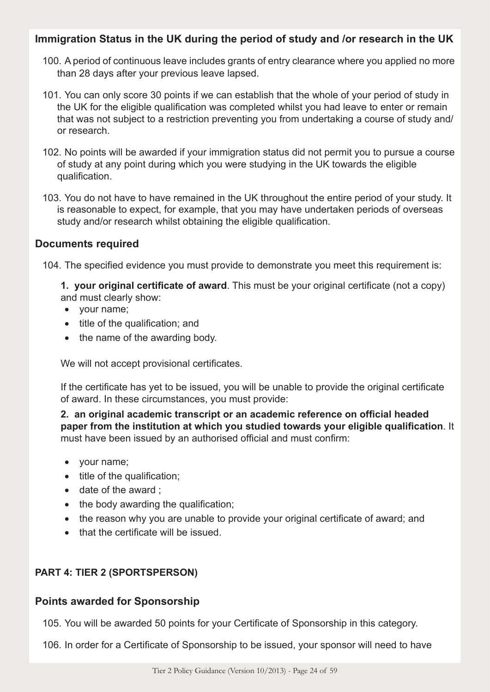# **Immigration Status in the UK during the period of study and /or research in the UK**

- 100. A period of continuous leave includes grants of entry clearance where you applied no more than 28 days after your previous leave lapsed.
- 101. You can only score 30 points if we can establish that the whole of your period of study in the UK for the eligible qualification was completed whilst you had leave to enter or remain that was not subject to a restriction preventing you from undertaking a course of study and/ or research.
- 102. No points will be awarded if your immigration status did not permit you to pursue a course of study at any point during which you were studying in the UK towards the eligible qualification.
- 103. You do not have to have remained in the UK throughout the entire period of your study. It is reasonable to expect, for example, that you may have undertaken periods of overseas study and/or research whilst obtaining the eligible qualification.

# **Documents required**

104. The specified evidence you must provide to demonstrate you meet this requirement is:

**1. your original certificate of award**. This must be your original certificate (not a copy) and must clearly show:

- your name;
- title of the qualification: and
- the name of the awarding body.

We will not accept provisional certificates.

If the certificate has yet to be issued, you will be unable to provide the original certificate of award. In these circumstances, you must provide:

**2. an original academic transcript or an academic reference on official headed paper from the institution at which you studied towards your eligible qualification**. It must have been issued by an authorised official and must confirm:

- your name;
- title of the qualification;
- date of the award ;
- the body awarding the qualification;
- the reason why you are unable to provide your original certificate of award; and
- that the certificate will be issued.

# **PART 4: TIER 2 (SPORTSPERSON)**

# **Points awarded for Sponsorship**

105. You will be awarded 50 points for your Certificate of Sponsorship in this category.

106. In order for a Certificate of Sponsorship to be issued, your sponsor will need to have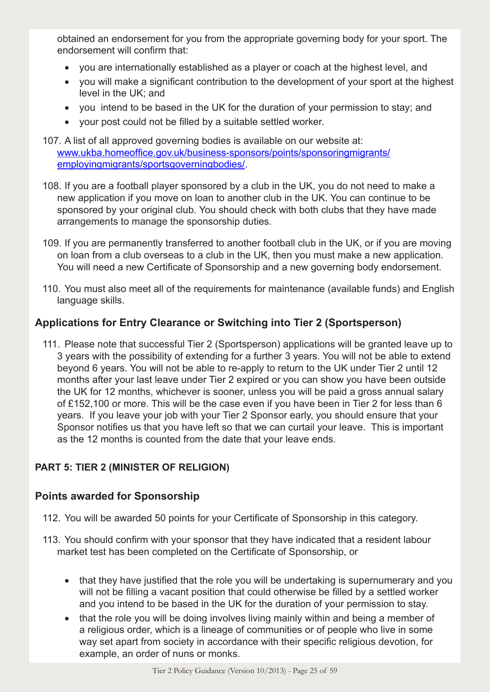obtained an endorsement for you from the appropriate governing body for your sport. The endorsement will confirm that:

- you are internationally established as a player or coach at the highest level, and
- you will make a significant contribution to the development of your sport at the highest level in the UK; and
- you intend to be based in the UK for the duration of your permission to stay; and
- • your post could not be filled by a suitable settled worker.
- 107. A list of all approved governing bodies is available on our website at: www.ukba.homeoffice.gov.uk/business-sponsors/points/sponsoringmigrants/ employingmigrants/sportsgoverningbodies/.
- 108. If you are a football player sponsored by a club in the UK, you do not need to make a new application if you move on loan to another club in the UK. You can continue to be sponsored by your original club. You should check with both clubs that they have made arrangements to manage the sponsorship duties.
- 109. If you are permanently transferred to another football club in the UK, or if you are moving on loan from a club overseas to a club in the UK, then you must make a new application. You will need a new Certificate of Sponsorship and a new governing body endorsement.
- 110. You must also meet all of the requirements for maintenance (available funds) and English language skills.

# **Applications for Entry Clearance or Switching into Tier 2 (Sportsperson)**

111. Please note that successful Tier 2 (Sportsperson) applications will be granted leave up to 3 years with the possibility of extending for a further 3 years. You will not be able to extend beyond 6 years. You will not be able to re-apply to return to the UK under Tier 2 until 12 months after your last leave under Tier 2 expired or you can show you have been outside the UK for 12 months, whichever is sooner, unless you will be paid a gross annual salary of £152,100 or more. This will be the case even if you have been in Tier 2 for less than 6 years. If you leave your job with your Tier 2 Sponsor early, you should ensure that your Sponsor notifies us that you have left so that we can curtail your leave. This is important as the 12 months is counted from the date that your leave ends.

#### **PART 5: TIER 2 (MINISTER OF RELIGION)**

#### **Points awarded for Sponsorship**

- 112. You will be awarded 50 points for your Certificate of Sponsorship in this category.
- 113. You should confirm with your sponsor that they have indicated that a resident labour market test has been completed on the Certificate of Sponsorship, or
	- that they have justified that the role you will be undertaking is supernumerary and you will not be filling a vacant position that could otherwise be filled by a settled worker and you intend to be based in the UK for the duration of your permission to stay.
	- that the role you will be doing involves living mainly within and being a member of a religious order, which is a lineage of communities or of people who live in some way set apart from society in accordance with their specific religious devotion, for example, an order of nuns or monks.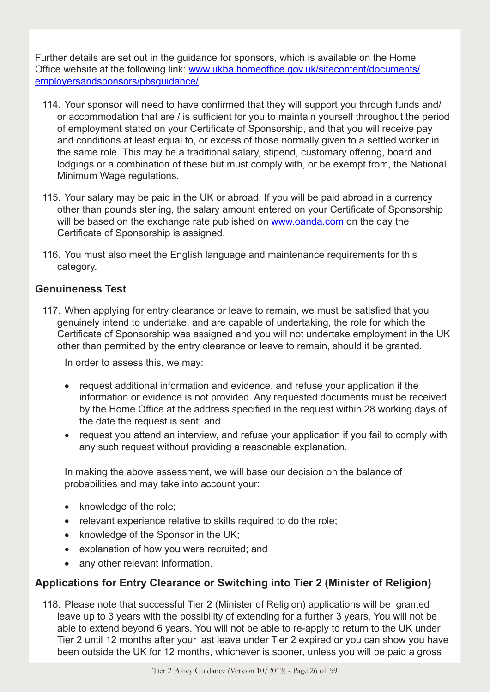Further details are set out in the guidance for sponsors, which is available on the Home Office website at the following link: www.ukba.homeoffice.gov.uk/sitecontent/documents/ employersandsponsors/pbsguidance/.

- 114. Your sponsor will need to have confirmed that they will support you through funds and/ or accommodation that are / is sufficient for you to maintain yourself throughout the period of employment stated on your Certificate of Sponsorship, and that you will receive pay and conditions at least equal to, or excess of those normally given to a settled worker in the same role. This may be a traditional salary, stipend, customary offering, board and lodgings or a combination of these but must comply with, or be exempt from, the National Minimum Wage regulations.
- 115. Your salary may be paid in the UK or abroad. If you will be paid abroad in a currency other than pounds sterling, the salary amount entered on your Certificate of Sponsorship will be based on the exchange rate published on www.oanda.com on the day the Certificate of Sponsorship is assigned.
- 116. You must also meet the English language and maintenance requirements for this category.

# **Genuineness Test**

117. When applying for entry clearance or leave to remain, we must be satisfied that you genuinely intend to undertake, and are capable of undertaking, the role for which the Certificate of Sponsorship was assigned and you will not undertake employment in the UK other than permitted by the entry clearance or leave to remain, should it be granted.

In order to assess this, we may:

- request additional information and evidence, and refuse your application if the information or evidence is not provided. Any requested documents must be received by the Home Office at the address specified in the request within 28 working days of the date the request is sent; and
- request you attend an interview, and refuse your application if you fail to comply with any such request without providing a reasonable explanation.

In making the above assessment, we will base our decision on the balance of probabilities and may take into account your:

- knowledge of the role;
- relevant experience relative to skills required to do the role;
- knowledge of the Sponsor in the UK;
- explanation of how you were recruited; and
- any other relevant information.

# **Applications for Entry Clearance or Switching into Tier 2 (Minister of Religion)**

118. Please note that successful Tier 2 (Minister of Religion) applications will be granted leave up to 3 years with the possibility of extending for a further 3 years. You will not be able to extend beyond 6 years. You will not be able to re-apply to return to the UK under Tier 2 until 12 months after your last leave under Tier 2 expired or you can show you have been outside the UK for 12 months, whichever is sooner, unless you will be paid a gross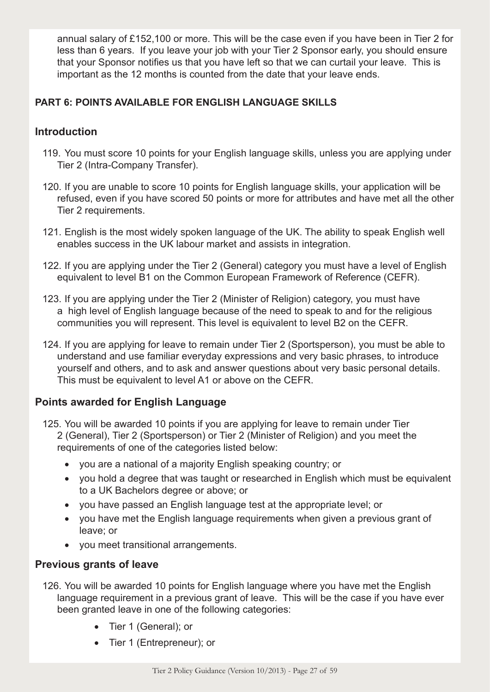annual salary of £152,100 or more. This will be the case even if you have been in Tier 2 for less than 6 years. If you leave your job with your Tier 2 Sponsor early, you should ensure that your Sponsor notifies us that you have left so that we can curtail your leave. This is important as the 12 months is counted from the date that your leave ends.

# **PART 6: POINTS AVAILABLE FOR ENGLISH LANGUAGE SKILLS**

# **Introduction**

- 119. You must score 10 points for your English language skills, unless you are applying under Tier 2 (Intra-Company Transfer).
- 120. If you are unable to score 10 points for English language skills, your application will be refused, even if you have scored 50 points or more for attributes and have met all the other Tier 2 requirements.
- 121. English is the most widely spoken language of the UK. The ability to speak English well enables success in the UK labour market and assists in integration.
- 122. If you are applying under the Tier 2 (General) category you must have a level of English equivalent to level B1 on the Common European Framework of Reference (CEFR).
- 123. If you are applying under the Tier 2 (Minister of Religion) category, you must have a high level of English language because of the need to speak to and for the religious communities you will represent. This level is equivalent to level B2 on the CEFR.
- 124. If you are applying for leave to remain under Tier 2 (Sportsperson), you must be able to understand and use familiar everyday expressions and very basic phrases, to introduce yourself and others, and to ask and answer questions about very basic personal details. This must be equivalent to level A1 or above on the CEFR.

# **Points awarded for English Language**

- 125. You will be awarded 10 points if you are applying for leave to remain under Tier 2 (General), Tier 2 (Sportsperson) or Tier 2 (Minister of Religion) and you meet the requirements of one of the categories listed below:
	- you are a national of a majority English speaking country; or
	- you hold a degree that was taught or researched in English which must be equivalent to a UK Bachelors degree or above; or
	- you have passed an English language test at the appropriate level; or
	- vou have met the English language requirements when given a previous grant of leave; or
	- • you meet transitional arrangements.

# **Previous grants of leave**

- 126. You will be awarded 10 points for English language where you have met the English language requirement in a previous grant of leave. This will be the case if you have ever been granted leave in one of the following categories:
	- Tier 1 (General); or
	- Tier 1 (Entrepreneur); or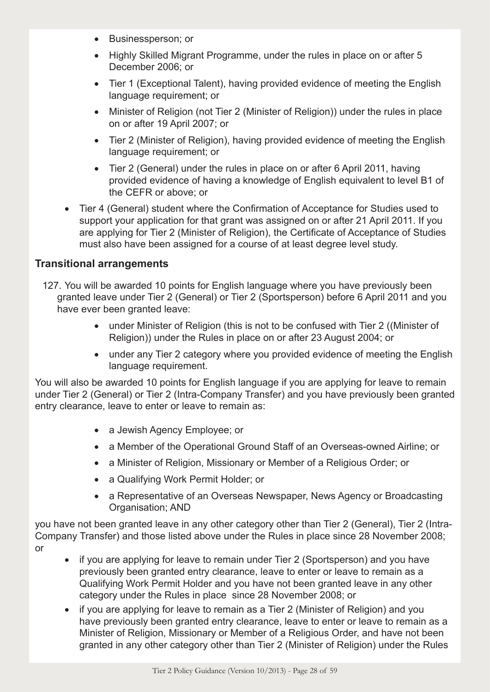- Businessperson; or
- Highly Skilled Migrant Programme, under the rules in place on or after 5 December 2006; or
- Tier 1 (Exceptional Talent), having provided evidence of meeting the English language requirement; or
- Minister of Religion (not Tier 2 (Minister of Religion)) under the rules in place on or after 19 April 2007; or
- Tier 2 (Minister of Religion), having provided evidence of meeting the English language requirement; or
- Tier 2 (General) under the rules in place on or after 6 April 2011, having provided evidence of having a knowledge of English equivalent to level B1 of the CEFR or above; or
- Tier 4 (General) student where the Confirmation of Acceptance for Studies used to support your application for that grant was assigned on or after 21 April 2011. If you are applying for Tier 2 (Minister of Religion), the Certificate of Acceptance of Studies must also have been assigned for a course of at least degree level study.

# **Transitional arrangements**

- 127. You will be awarded 10 points for English language where you have previously been granted leave under Tier 2 (General) or Tier 2 (Sportsperson) before 6 April 2011 and you have ever been granted leave:
	- under Minister of Religion (this is not to be confused with Tier 2 ((Minister of Religion)) under the Rules in place on or after 23 August 2004; or
	- under any Tier 2 category where you provided evidence of meeting the English language requirement.

You will also be awarded 10 points for English language if you are applying for leave to remain under Tier 2 (General) or Tier 2 (Intra-Company Transfer) and you have previously been granted entry clearance, leave to enter or leave to remain as:

- a Jewish Agency Employee; or
- a Member of the Operational Ground Staff of an Overseas-owned Airline; or
- a Minister of Religion, Missionary or Member of a Religious Order; or
- a Qualifying Work Permit Holder; or
- a Representative of an Overseas Newspaper, News Agency or Broadcasting Organisation; AND

you have not been granted leave in any other category other than Tier 2 (General), Tier 2 (Intra-Company Transfer) and those listed above under the Rules in place since 28 November 2008; or

- if you are applying for leave to remain under Tier 2 (Sportsperson) and you have previously been granted entry clearance, leave to enter or leave to remain as a Qualifying Work Permit Holder and you have not been granted leave in any other category under the Rules in place since 28 November 2008; or
- if you are applying for leave to remain as a Tier 2 (Minister of Religion) and you have previously been granted entry clearance, leave to enter or leave to remain as a Minister of Religion, Missionary or Member of a Religious Order, and have not been granted in any other category other than Tier 2 (Minister of Religion) under the Rules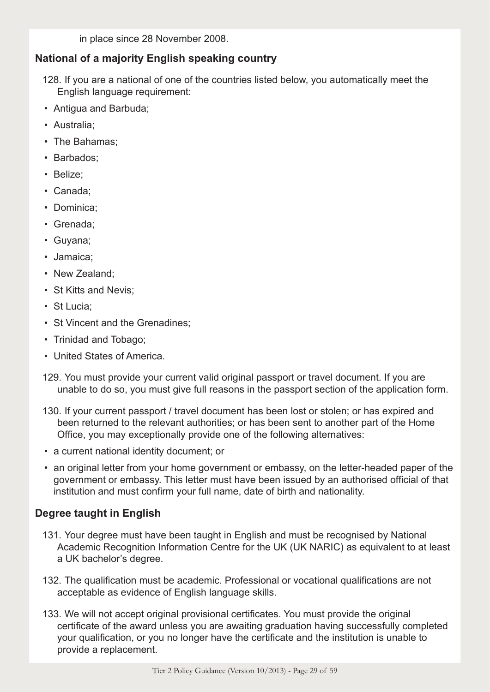in place since 28 November 2008.

# **National of a majority English speaking country**

- 128. If you are a national of one of the countries listed below, you automatically meet the English language requirement:
- Antigua and Barbuda;
- Australia;
- The Bahamas;
- Barbados;
- Belize;
- Canada;
- Dominica;
- Grenada;
- Guyana;
- Jamaica;
- New Zealand;
- St Kitts and Nevis;
- St Lucia;
- St Vincent and the Grenadines;
- Trinidad and Tobago;
- United States of America.
- 129. You must provide your current valid original passport or travel document. If you are unable to do so, you must give full reasons in the passport section of the application form.
- 130. If your current passport / travel document has been lost or stolen; or has expired and been returned to the relevant authorities; or has been sent to another part of the Home Office, you may exceptionally provide one of the following alternatives:
- a current national identity document; or
- an original letter from your home government or embassy, on the letter-headed paper of the government or embassy. This letter must have been issued by an authorised official of that institution and must confirm your full name, date of birth and nationality.

# **Degree taught in English**

- 131. Your degree must have been taught in English and must be recognised by National Academic Recognition Information Centre for the UK (UK NARIC) as equivalent to at least a UK bachelor's degree.
- 132. The qualification must be academic. Professional or vocational qualifications are not acceptable as evidence of English language skills.
- 133. We will not accept original provisional certificates. You must provide the original certificate of the award unless you are awaiting graduation having successfully completed your qualification, or you no longer have the certificate and the institution is unable to provide a replacement.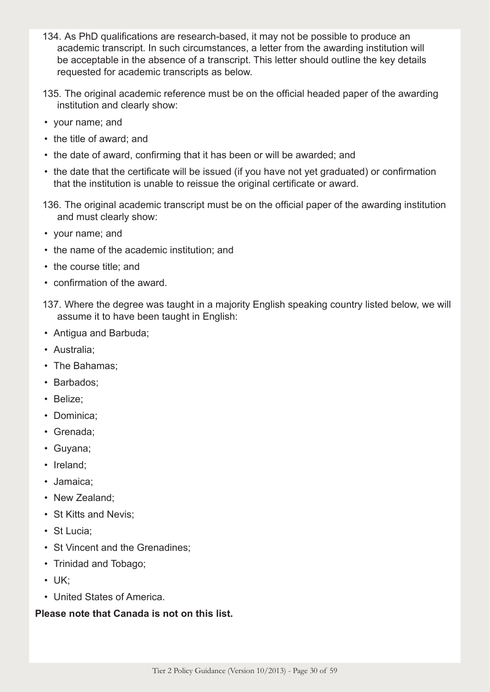- 134. As PhD qualifications are research-based, it may not be possible to produce an academic transcript. In such circumstances, a letter from the awarding institution will be acceptable in the absence of a transcript. This letter should outline the key details requested for academic transcripts as below.
- 135. The original academic reference must be on the official headed paper of the awarding institution and clearly show:
- your name; and
- the title of award; and
- the date of award, confirming that it has been or will be awarded; and
- the date that the certificate will be issued (if you have not yet graduated) or confirmation that the institution is unable to reissue the original certificate or award.
- 136. The original academic transcript must be on the official paper of the awarding institution and must clearly show:
- your name; and
- the name of the academic institution; and
- the course title; and
- confirmation of the award.
- 137. Where the degree was taught in a majority English speaking country listed below, we will assume it to have been taught in English:
- Antigua and Barbuda;
- Australia;
- The Bahamas;
- Barbados;
- Belize;
- Dominica;
- Grenada;
- Guyana;
- Ireland;
- Jamaica;
- New Zealand;
- St Kitts and Nevis;
- St Lucia;
- St Vincent and the Grenadines;
- Trinidad and Tobago;
- UK;
- United States of America.

#### **Please note that Canada is not on this list.**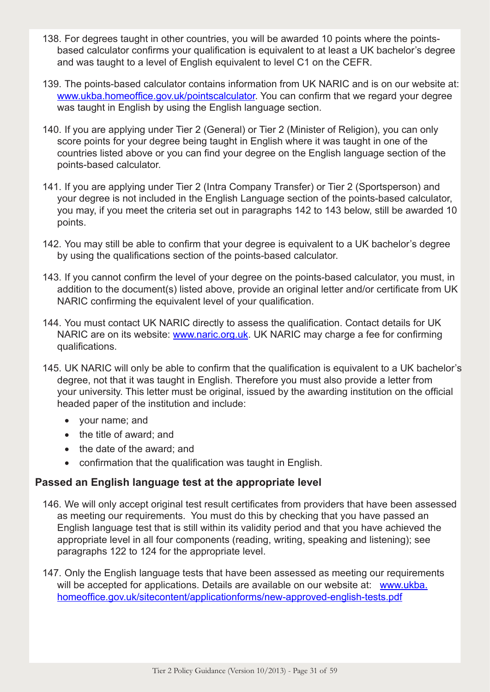- 138. For degrees taught in other countries, you will be awarded 10 points where the pointsbased calculator confirms your qualification is equivalent to at least a UK bachelor's degree and was taught to a level of English equivalent to level C1 on the CEFR.
- 139. The points-based calculator contains information from UK NARIC and is on our website at: www.ukba.homeoffice.gov.uk/pointscalculator. You can confirm that we regard your degree was taught in English by using the English language section.
- 140. If you are applying under Tier 2 (General) or Tier 2 (Minister of Religion), you can only score points for your degree being taught in English where it was taught in one of the countries listed above or you can find your degree on the English language section of the points-based calculator.
- 141. If you are applying under Tier 2 (Intra Company Transfer) or Tier 2 (Sportsperson) and your degree is not included in the English Language section of the points-based calculator, you may, if you meet the criteria set out in paragraphs 142 to 143 below, still be awarded 10 points.
- 142. You may still be able to confirm that your degree is equivalent to a UK bachelor's degree by using the qualifications section of the points-based calculator.
- 143. If you cannot confirm the level of your degree on the points-based calculator, you must, in addition to the document(s) listed above, provide an original letter and/or certificate from UK NARIC confirming the equivalent level of your qualification.
- 144. You must contact UK NARIC directly to assess the qualification. Contact details for UK NARIC are on its website: www.naric.org.uk. UK NARIC may charge a fee for confirming qualifications.
- 145. UK NARIC will only be able to confirm that the qualification is equivalent to a UK bachelor's degree, not that it was taught in English. Therefore you must also provide a letter from your university. This letter must be original, issued by the awarding institution on the official headed paper of the institution and include:
	- • your name; and
	- the title of award; and
	- the date of the award; and
	- confirmation that the qualification was taught in English.

# **Passed an English language test at the appropriate level**

- 146. We will only accept original test result certificates from providers that have been assessed as meeting our requirements. You must do this by checking that you have passed an English language test that is still within its validity period and that you have achieved the appropriate level in all four components (reading, writing, speaking and listening); see paragraphs 122 to 124 for the appropriate level.
- 147. Only the English language tests that have been assessed as meeting our requirements will be accepted for applications. Details are available on our website at: www.ukba. homeoffice.gov.uk/sitecontent/applicationforms/new-approved-english-tests.pdf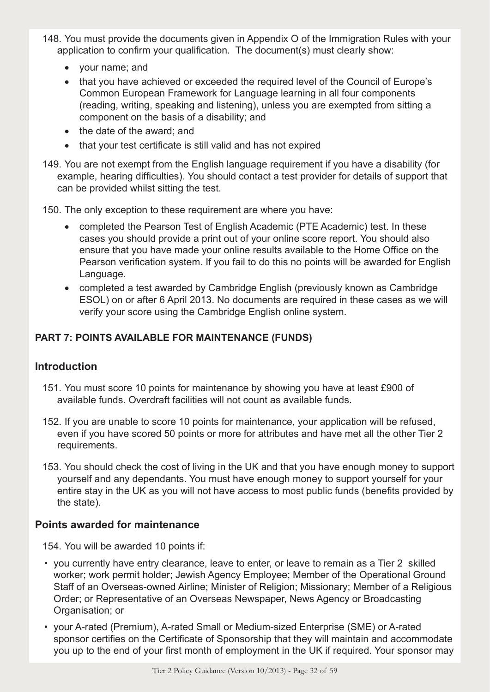- 148. You must provide the documents given in Appendix O of the Immigration Rules with your application to confirm your qualification. The document(s) must clearly show:
	- • your name; and
	- that you have achieved or exceeded the required level of the Council of Europe's Common European Framework for Language learning in all four components (reading, writing, speaking and listening), unless you are exempted from sitting a component on the basis of a disability; and
	- the date of the award; and
	- that your test certificate is still valid and has not expired
- 149. You are not exempt from the English language requirement if you have a disability (for example, hearing difficulties). You should contact a test provider for details of support that can be provided whilst sitting the test.

150. The only exception to these requirement are where you have:

- completed the Pearson Test of English Academic (PTE Academic) test. In these cases you should provide a print out of your online score report. You should also ensure that you have made your online results available to the Home Office on the Pearson verification system. If you fail to do this no points will be awarded for English Language.
- completed a test awarded by Cambridge English (previously known as Cambridge ESOL) on or after 6 April 2013. No documents are required in these cases as we will verify your score using the Cambridge English online system.

# **PART 7: POINTS AVAILABLE FOR MAINTENANCE (FUNDS)**

# **Introduction**

- 151. You must score 10 points for maintenance by showing you have at least £900 of available funds. Overdraft facilities will not count as available funds.
- 152. If you are unable to score 10 points for maintenance, your application will be refused, even if you have scored 50 points or more for attributes and have met all the other Tier 2 requirements.
- 153. You should check the cost of living in the UK and that you have enough money to support yourself and any dependants. You must have enough money to support yourself for your entire stay in the UK as you will not have access to most public funds (benefits provided by the state).

# **Points awarded for maintenance**

154. You will be awarded 10 points if:

- you currently have entry clearance, leave to enter, or leave to remain as a Tier 2 skilled worker; work permit holder; Jewish Agency Employee; Member of the Operational Ground Staff of an Overseas-owned Airline; Minister of Religion; Missionary; Member of a Religious Order; or Representative of an Overseas Newspaper, News Agency or Broadcasting Organisation; or
- your A-rated (Premium), A-rated Small or Medium-sized Enterprise (SME) or A-rated sponsor certifies on the Certificate of Sponsorship that they will maintain and accommodate you up to the end of your first month of employment in the UK if required. Your sponsor may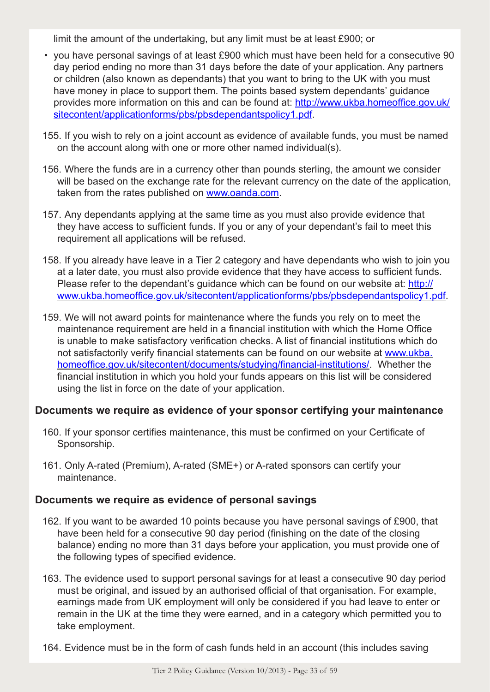limit the amount of the undertaking, but any limit must be at least £900; or

- you have personal savings of at least £900 which must have been held for a consecutive 90 day period ending no more than 31 days before the date of your application. Any partners or children (also known as dependants) that you want to bring to the UK with you must have money in place to support them. The points based system dependants' guidance provides more information on this and can be found at: http://www.ukba.homeoffice.gov.uk/ sitecontent/applicationforms/pbs/pbsdependantspolicy1.pdf.
- 155. If you wish to rely on a joint account as evidence of available funds, you must be named on the account along with one or more other named individual(s).
- 156. Where the funds are in a currency other than pounds sterling, the amount we consider will be based on the exchange rate for the relevant currency on the date of the application, taken from the rates published on www.oanda.com.
- 157. Any dependants applying at the same time as you must also provide evidence that they have access to sufficient funds. If you or any of your dependant's fail to meet this requirement all applications will be refused.
- 158. If you already have leave in a Tier 2 category and have dependants who wish to join you at a later date, you must also provide evidence that they have access to sufficient funds. Please refer to the dependant's quidance which can be found on our website at: http:// www.ukba.homeoffice.gov.uk/sitecontent/applicationforms/pbs/pbsdependantspolicy1.pdf.
- 159. We will not award points for maintenance where the funds you rely on to meet the maintenance requirement are held in a financial institution with which the Home Office is unable to make satisfactory verification checks. A list of financial institutions which do not satisfactorily verify financial statements can be found on our website at www.ukba. homeoffice.gov.uk/sitecontent/documents/studying/financial-institutions/. Whether the financial institution in which you hold your funds appears on this list will be considered using the list in force on the date of your application.

# **Documents we require as evidence of your sponsor certifying your maintenance**

- 160. If your sponsor certifies maintenance, this must be confirmed on your Certificate of Sponsorship.
- 161. Only A-rated (Premium), A-rated (SME+) or A-rated sponsors can certify your maintenance.

#### **Documents we require as evidence of personal savings**

- 162. If you want to be awarded 10 points because you have personal savings of £900, that have been held for a consecutive 90 day period (finishing on the date of the closing balance) ending no more than 31 days before your application, you must provide one of the following types of specified evidence.
- 163. The evidence used to support personal savings for at least a consecutive 90 day period must be original, and issued by an authorised official of that organisation. For example, earnings made from UK employment will only be considered if you had leave to enter or remain in the UK at the time they were earned, and in a category which permitted you to take employment.
- 164. Evidence must be in the form of cash funds held in an account (this includes saving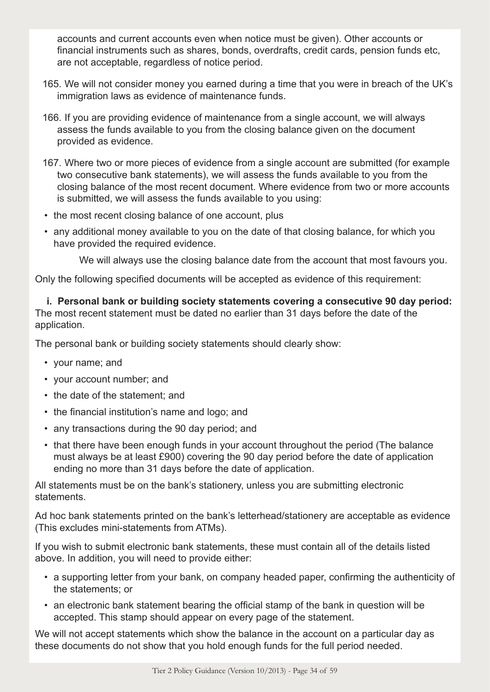accounts and current accounts even when notice must be given). Other accounts or financial instruments such as shares, bonds, overdrafts, credit cards, pension funds etc, are not acceptable, regardless of notice period.

- 165. We will not consider money you earned during a time that you were in breach of the UK's immigration laws as evidence of maintenance funds.
- 166. If you are providing evidence of maintenance from a single account, we will always assess the funds available to you from the closing balance given on the document provided as evidence.
- 167. Where two or more pieces of evidence from a single account are submitted (for example two consecutive bank statements), we will assess the funds available to you from the closing balance of the most recent document. Where evidence from two or more accounts is submitted, we will assess the funds available to you using:
- the most recent closing balance of one account, plus
- any additional money available to you on the date of that closing balance, for which you have provided the required evidence.

We will always use the closing balance date from the account that most favours you.

Only the following specified documents will be accepted as evidence of this requirement:

**i. Personal bank or building society statements covering a consecutive 90 day period:** The most recent statement must be dated no earlier than 31 days before the date of the application.

The personal bank or building society statements should clearly show:

- your name; and
- your account number; and
- the date of the statement; and
- the financial institution's name and logo; and
- any transactions during the 90 day period; and
- that there have been enough funds in your account throughout the period (The balance must always be at least £900) covering the 90 day period before the date of application ending no more than 31 days before the date of application.

All statements must be on the bank's stationery, unless you are submitting electronic statements.

Ad hoc bank statements printed on the bank's letterhead/stationery are acceptable as evidence (This excludes mini-statements from ATMs).

If you wish to submit electronic bank statements, these must contain all of the details listed above. In addition, you will need to provide either:

- a supporting letter from your bank, on company headed paper, confirming the authenticity of the statements; or
- an electronic bank statement bearing the official stamp of the bank in question will be accepted. This stamp should appear on every page of the statement.

We will not accept statements which show the balance in the account on a particular day as these documents do not show that you hold enough funds for the full period needed.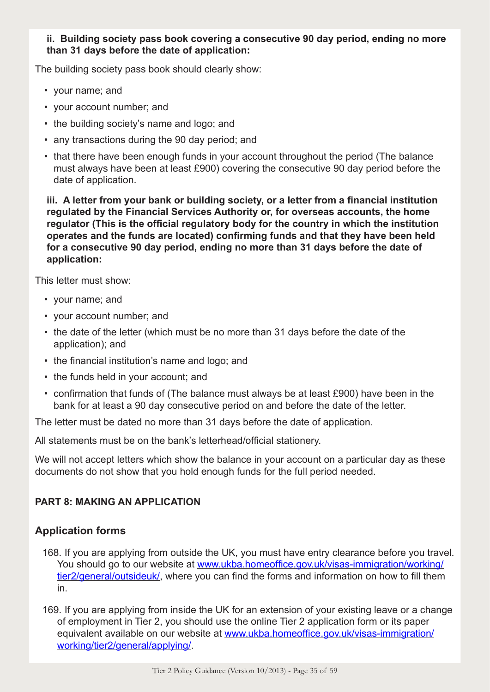#### **ii. Building society pass book covering a consecutive 90 day period, ending no more than 31 days before the date of application:**

The building society pass book should clearly show:

- your name; and
- your account number; and
- the building society's name and logo; and
- any transactions during the 90 day period; and
- that there have been enough funds in your account throughout the period (The balance must always have been at least £900) covering the consecutive 90 day period before the date of application.

**iii. A letter from your bank or building society, or a letter from a financial institution regulated by the Financial Services Authority or, for overseas accounts, the home regulator (This is the official regulatory body for the country in which the institution operates and the funds are located) confirming funds and that they have been held for a consecutive 90 day period, ending no more than 31 days before the date of application:**

This letter must show:

- your name; and
- your account number; and
- the date of the letter (which must be no more than 31 days before the date of the application); and
- the financial institution's name and logo; and
- the funds held in your account; and
- confirmation that funds of (The balance must always be at least £900) have been in the bank for at least a 90 day consecutive period on and before the date of the letter.

The letter must be dated no more than 31 days before the date of application.

All statements must be on the bank's letterhead/official stationery.

We will not accept letters which show the balance in your account on a particular day as these documents do not show that you hold enough funds for the full period needed.

#### **PART 8: MAKING AN APPLICATION**

# **Application forms**

- 168. If you are applying from outside the UK, you must have entry clearance before you travel. You should go to our website at www.ukba.homeoffice.gov.uk/visas-immigration/working/ tier2/general/outsideuk/, where you can find the forms and information on how to fill them in.
- 169. If you are applying from inside the UK for an extension of your existing leave or a change of employment in Tier 2, you should use the online Tier 2 application form or its paper equivalent available on our website at www.ukba.homeoffice.gov.uk/visas-immigration/ working/tier2/general/applying/.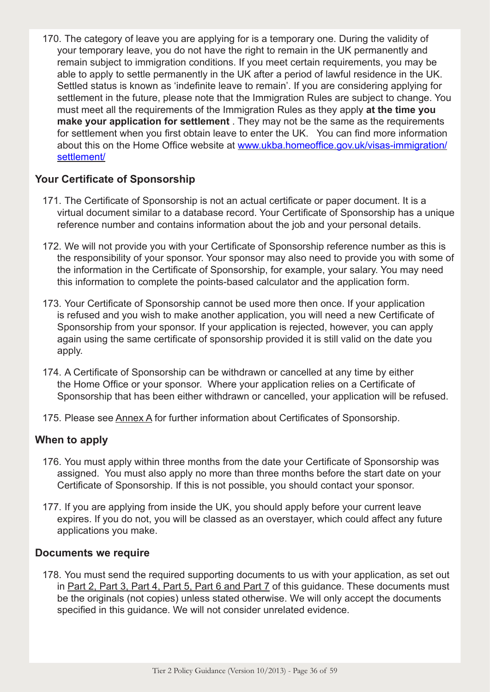170. The category of leave you are applying for is a temporary one. During the validity of your temporary leave, you do not have the right to remain in the UK permanently and remain subject to immigration conditions. If you meet certain requirements, you may be able to apply to settle permanently in the UK after a period of lawful residence in the UK. Settled status is known as 'indefinite leave to remain'. If you are considering applying for settlement in the future, please note that the Immigration Rules are subject to change. You must meet all the requirements of the Immigration Rules as they apply **at the time you make your application for settlement** . They may not be the same as the requirements for settlement when you first obtain leave to enter the UK. You can find more information about this on the Home Office website at www.ukba.homeoffice.gov.uk/visas-immigration/ settlement/

# **Your Certificate of Sponsorship**

- 171. The Certificate of Sponsorship is not an actual certificate or paper document. It is a virtual document similar to a database record. Your Certificate of Sponsorship has a unique reference number and contains information about the job and your personal details.
- 172. We will not provide you with your Certificate of Sponsorship reference number as this is the responsibility of your sponsor. Your sponsor may also need to provide you with some of the information in the Certificate of Sponsorship, for example, your salary. You may need this information to complete the points-based calculator and the application form.
- 173. Your Certificate of Sponsorship cannot be used more then once. If your application is refused and you wish to make another application, you will need a new Certificate of Sponsorship from your sponsor. If your application is rejected, however, you can apply again using the same certificate of sponsorship provided it is still valid on the date you apply.
- 174. A Certificate of Sponsorship can be withdrawn or cancelled at any time by either the Home Office or your sponsor. Where your application relies on a Certificate of Sponsorship that has been either withdrawn or cancelled, your application will be refused.
- 175. Please see Annex A for further information about Certificates of Sponsorship.

# **When to apply**

- 176. You must apply within three months from the date your Certificate of Sponsorship was assigned. You must also apply no more than three months before the start date on your Certificate of Sponsorship. If this is not possible, you should contact your sponsor.
- 177. If you are applying from inside the UK, you should apply before your current leave expires. If you do not, you will be classed as an overstayer, which could affect any future applications you make.

#### **Documents we require**

178. You must send the required supporting documents to us with your application, as set out in Part 2, Part 3, Part 4, Part 5, Part 6 and Part 7 of this guidance. These documents must be the originals (not copies) unless stated otherwise. We will only accept the documents specified in this guidance. We will not consider unrelated evidence.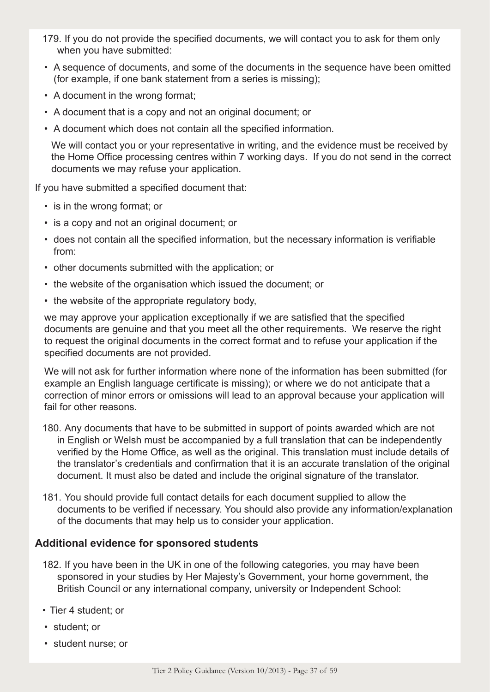- 179. If you do not provide the specified documents, we will contact you to ask for them only when you have submitted:
- A sequence of documents, and some of the documents in the sequence have been omitted (for example, if one bank statement from a series is missing);
- A document in the wrong format;
- A document that is a copy and not an original document; or
- A document which does not contain all the specified information.

We will contact you or your representative in writing, and the evidence must be received by the Home Office processing centres within 7 working days. If you do not send in the correct documents we may refuse your application.

If you have submitted a specified document that:

- is in the wrong format; or
- is a copy and not an original document; or
- does not contain all the specified information, but the necessary information is verifiable from:
- other documents submitted with the application; or
- the website of the organisation which issued the document; or
- the website of the appropriate regulatory body,

we may approve your application exceptionally if we are satisfied that the specified documents are genuine and that you meet all the other requirements. We reserve the right to request the original documents in the correct format and to refuse your application if the specified documents are not provided.

We will not ask for further information where none of the information has been submitted (for example an English language certificate is missing); or where we do not anticipate that a correction of minor errors or omissions will lead to an approval because your application will fail for other reasons.

- 180. Any documents that have to be submitted in support of points awarded which are not in English or Welsh must be accompanied by a full translation that can be independently verified by the Home Office, as well as the original. This translation must include details of the translator's credentials and confirmation that it is an accurate translation of the original document. It must also be dated and include the original signature of the translator.
- 181. You should provide full contact details for each document supplied to allow the documents to be verified if necessary. You should also provide any information/explanation of the documents that may help us to consider your application.

#### **Additional evidence for sponsored students**

- 182. If you have been in the UK in one of the following categories, you may have been sponsored in your studies by Her Majesty's Government, your home government, the British Council or any international company, university or Independent School:
- Tier 4 student; or
- student; or
- student nurse; or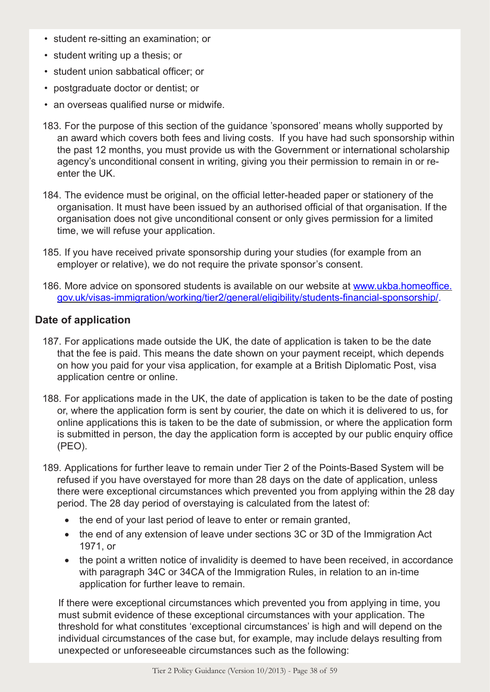- student re-sitting an examination; or
- student writing up a thesis; or
- student union sabbatical officer; or
- postgraduate doctor or dentist; or
- an overseas qualified nurse or midwife.
- 183. For the purpose of this section of the guidance 'sponsored' means wholly supported by an award which covers both fees and living costs. If you have had such sponsorship within the past 12 months, you must provide us with the Government or international scholarship agency's unconditional consent in writing, giving you their permission to remain in or reenter the UK.
- 184. The evidence must be original, on the official letter-headed paper or stationery of the organisation. It must have been issued by an authorised official of that organisation. If the organisation does not give unconditional consent or only gives permission for a limited time, we will refuse your application.
- 185. If you have received private sponsorship during your studies (for example from an employer or relative), we do not require the private sponsor's consent.
- 186. More advice on sponsored students is available on our website at www.ukba.homeoffice. gov.uk/visas-immigration/working/tier2/general/eligibility/students-financial-sponsorship/.

#### **Date of application**

- 187. For applications made outside the UK, the date of application is taken to be the date that the fee is paid. This means the date shown on your payment receipt, which depends on how you paid for your visa application, for example at a British Diplomatic Post, visa application centre or online.
- 188. For applications made in the UK, the date of application is taken to be the date of posting or, where the application form is sent by courier, the date on which it is delivered to us, for online applications this is taken to be the date of submission, or where the application form is submitted in person, the day the application form is accepted by our public enquiry office (PEO).
- 189. Applications for further leave to remain under Tier 2 of the Points-Based System will be refused if you have overstayed for more than 28 days on the date of application, unless there were exceptional circumstances which prevented you from applying within the 28 day period. The 28 day period of overstaying is calculated from the latest of:
	- the end of your last period of leave to enter or remain granted,
	- the end of any extension of leave under sections 3C or 3D of the Immigration Act 1971, or
	- the point a written notice of invalidity is deemed to have been received, in accordance with paragraph 34C or 34CA of the Immigration Rules, in relation to an in-time application for further leave to remain.

If there were exceptional circumstances which prevented you from applying in time, you must submit evidence of these exceptional circumstances with your application. The threshold for what constitutes 'exceptional circumstances' is high and will depend on the individual circumstances of the case but, for example, may include delays resulting from unexpected or unforeseeable circumstances such as the following: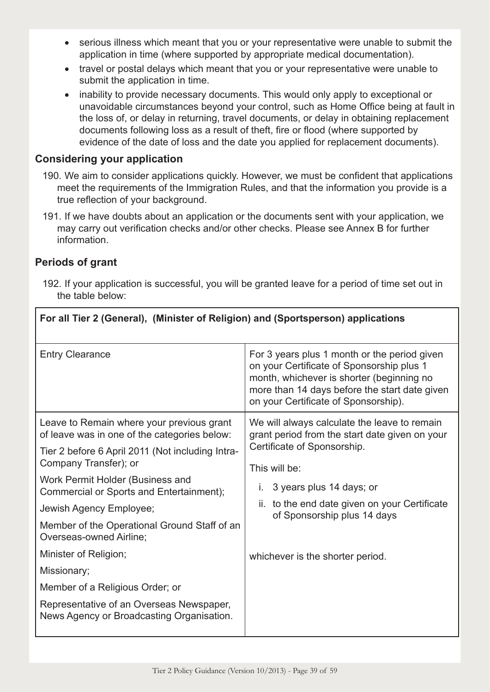- serious illness which meant that you or your representative were unable to submit the application in time (where supported by appropriate medical documentation).
- travel or postal delays which meant that you or your representative were unable to submit the application in time.
- inability to provide necessary documents. This would only apply to exceptional or unavoidable circumstances beyond your control, such as Home Office being at fault in the loss of, or delay in returning, travel documents, or delay in obtaining replacement documents following loss as a result of theft, fire or flood (where supported by evidence of the date of loss and the date you applied for replacement documents).

# **Considering your application**

- 190. We aim to consider applications quickly. However, we must be confident that applications meet the requirements of the Immigration Rules, and that the information you provide is a true reflection of your background.
- 191. If we have doubts about an application or the documents sent with your application, we may carry out verification checks and/or other checks. Please see Annex B for further information.

# **Periods of grant**

192. If your application is successful, you will be granted leave for a period of time set out in the table below:

| For all Tier 2 (General), (Minister of Religion) and (Sportsperson) applications          |                                                                                                                                                                                                                                 |  |
|-------------------------------------------------------------------------------------------|---------------------------------------------------------------------------------------------------------------------------------------------------------------------------------------------------------------------------------|--|
| <b>Entry Clearance</b>                                                                    | For 3 years plus 1 month or the period given<br>on your Certificate of Sponsorship plus 1<br>month, whichever is shorter (beginning no<br>more than 14 days before the start date given<br>on your Certificate of Sponsorship). |  |
| Leave to Remain where your previous grant<br>of leave was in one of the categories below: | We will always calculate the leave to remain<br>grant period from the start date given on your                                                                                                                                  |  |
| Tier 2 before 6 April 2011 (Not including Intra-<br>Company Transfer); or                 | Certificate of Sponsorship.<br>This will be:                                                                                                                                                                                    |  |
| Work Permit Holder (Business and<br>Commercial or Sports and Entertainment);              | 3 years plus 14 days; or                                                                                                                                                                                                        |  |
| Jewish Agency Employee;                                                                   | to the end date given on your Certificate<br>ii.<br>of Sponsorship plus 14 days                                                                                                                                                 |  |
| Member of the Operational Ground Staff of an<br>Overseas-owned Airline:                   |                                                                                                                                                                                                                                 |  |
| Minister of Religion;                                                                     | whichever is the shorter period.                                                                                                                                                                                                |  |
| Missionary;                                                                               |                                                                                                                                                                                                                                 |  |
| Member of a Religious Order; or                                                           |                                                                                                                                                                                                                                 |  |
| Representative of an Overseas Newspaper,<br>News Agency or Broadcasting Organisation.     |                                                                                                                                                                                                                                 |  |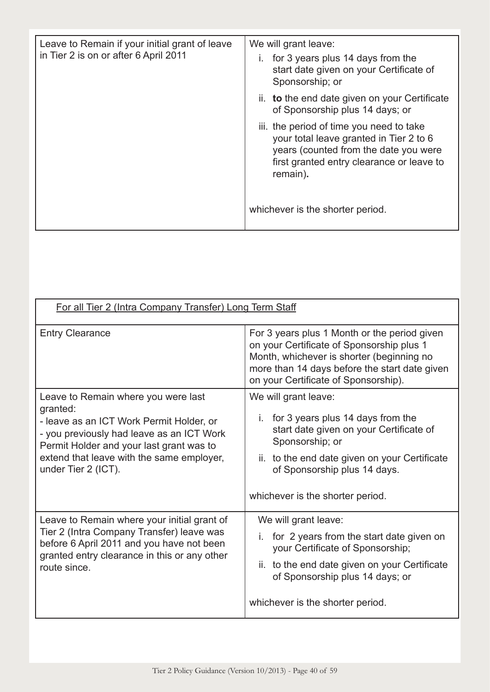| Leave to Remain if your initial grant of leave<br>in Tier 2 is on or after 6 April 2011 | We will grant leave:<br>for 3 years plus 14 days from the<br>start date given on your Certificate of<br>Sponsorship; or                                                               |
|-----------------------------------------------------------------------------------------|---------------------------------------------------------------------------------------------------------------------------------------------------------------------------------------|
|                                                                                         | ii. to the end date given on your Certificate<br>of Sponsorship plus 14 days; or                                                                                                      |
|                                                                                         | iii. the period of time you need to take<br>your total leave granted in Tier 2 to 6<br>years (counted from the date you were<br>first granted entry clearance or leave to<br>remain). |
|                                                                                         | whichever is the shorter period.                                                                                                                                                      |

| For all Tier 2 (Intra Company Transfer) Long Term Staff                                                                                                                                                                                                  |                                                                                                                                                                                                                                                    |  |
|----------------------------------------------------------------------------------------------------------------------------------------------------------------------------------------------------------------------------------------------------------|----------------------------------------------------------------------------------------------------------------------------------------------------------------------------------------------------------------------------------------------------|--|
| <b>Entry Clearance</b>                                                                                                                                                                                                                                   | For 3 years plus 1 Month or the period given<br>on your Certificate of Sponsorship plus 1<br>Month, whichever is shorter (beginning no<br>more than 14 days before the start date given<br>on your Certificate of Sponsorship).                    |  |
| Leave to Remain where you were last<br>granted:<br>- leave as an ICT Work Permit Holder, or<br>- you previously had leave as an ICT Work<br>Permit Holder and your last grant was to<br>extend that leave with the same employer,<br>under Tier 2 (ICT). | We will grant leave:<br>for 3 years plus 14 days from the<br>İ.<br>start date given on your Certificate of<br>Sponsorship; or<br>ii. to the end date given on your Certificate<br>of Sponsorship plus 14 days.<br>whichever is the shorter period. |  |
| Leave to Remain where your initial grant of<br>Tier 2 (Intra Company Transfer) leave was<br>before 6 April 2011 and you have not been<br>granted entry clearance in this or any other<br>route since.                                                    | We will grant leave:<br>for 2 years from the start date given on<br>your Certificate of Sponsorship;<br>to the end date given on your Certificate<br>ii.<br>of Sponsorship plus 14 days; or<br>whichever is the shorter period.                    |  |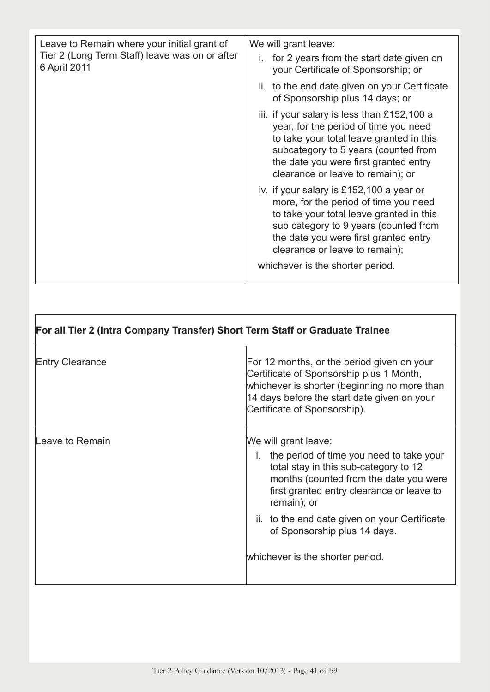| Leave to Remain where your initial grant of<br>Tier 2 (Long Term Staff) leave was on or after<br>6 April 2011 | We will grant leave:                                                                                                                                                                                                                                                                  |
|---------------------------------------------------------------------------------------------------------------|---------------------------------------------------------------------------------------------------------------------------------------------------------------------------------------------------------------------------------------------------------------------------------------|
|                                                                                                               | for 2 years from the start date given on<br>your Certificate of Sponsorship; or                                                                                                                                                                                                       |
|                                                                                                               | ii. to the end date given on your Certificate<br>of Sponsorship plus 14 days; or                                                                                                                                                                                                      |
|                                                                                                               | iii. if your salary is less than £152,100 a<br>year, for the period of time you need<br>to take your total leave granted in this<br>subcategory to 5 years (counted from<br>the date you were first granted entry<br>clearance or leave to remain); or                                |
|                                                                                                               | iv. if your salary is £152,100 a year or<br>more, for the period of time you need<br>to take your total leave granted in this<br>sub category to 9 years (counted from<br>the date you were first granted entry<br>clearance or leave to remain);<br>whichever is the shorter period. |

| For all Tier 2 (Intra Company Transfer) Short Term Staff or Graduate Trainee |                                                                                                                                                                                                                                                                                                                                         |  |  |
|------------------------------------------------------------------------------|-----------------------------------------------------------------------------------------------------------------------------------------------------------------------------------------------------------------------------------------------------------------------------------------------------------------------------------------|--|--|
| <b>Entry Clearance</b>                                                       | For 12 months, or the period given on your<br>Certificate of Sponsorship plus 1 Month,<br>whichever is shorter (beginning no more than<br>14 days before the start date given on your<br>Certificate of Sponsorship).                                                                                                                   |  |  |
| Leave to Remain                                                              | We will grant leave:<br>i. the period of time you need to take your<br>total stay in this sub-category to 12<br>months (counted from the date you were<br>first granted entry clearance or leave to<br>remain); or<br>ii. to the end date given on your Certificate<br>of Sponsorship plus 14 days.<br>whichever is the shorter period. |  |  |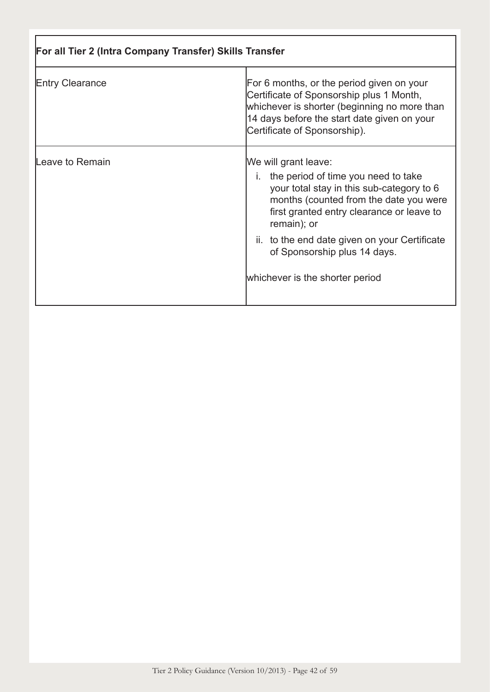| For all Tier 2 (Intra Company Transfer) Skills Transfer |                                                                                                                                                                                                                      |  |  |
|---------------------------------------------------------|----------------------------------------------------------------------------------------------------------------------------------------------------------------------------------------------------------------------|--|--|
| <b>Entry Clearance</b>                                  | For 6 months, or the period given on your<br>Certificate of Sponsorship plus 1 Month,<br>whichever is shorter (beginning no more than<br>14 days before the start date given on your<br>Certificate of Sponsorship). |  |  |
| Leave to Remain                                         | We will grant leave:<br>i. the period of time you need to take<br>your total stay in this sub-category to 6<br>months (counted from the date you were<br>first granted entry clearance or leave to<br>remain); or    |  |  |
|                                                         | ii. to the end date given on your Certificate<br>of Sponsorship plus 14 days.                                                                                                                                        |  |  |
|                                                         | whichever is the shorter period                                                                                                                                                                                      |  |  |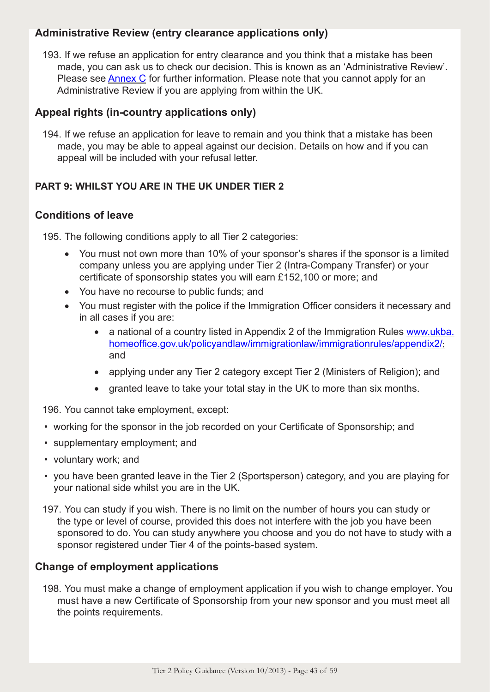# **Administrative Review (entry clearance applications only)**

193. If we refuse an application for entry clearance and you think that a mistake has been made, you can ask us to check our decision. This is known as an 'Administrative Review'. Please see Annex C for further information. Please note that you cannot apply for an Administrative Review if you are applying from within the UK.

# **Appeal rights (in-country applications only)**

194. If we refuse an application for leave to remain and you think that a mistake has been made, you may be able to appeal against our decision. Details on how and if you can appeal will be included with your refusal letter.

# **PART 9: WHILST YOU ARE IN THE UK UNDER TIER 2**

# **Conditions of leave**

195. The following conditions apply to all Tier 2 categories:

- You must not own more than 10% of your sponsor's shares if the sponsor is a limited company unless you are applying under Tier 2 (Intra-Company Transfer) or your certificate of sponsorship states you will earn £152,100 or more; and
- You have no recourse to public funds; and
- You must register with the police if the Immigration Officer considers it necessary and in all cases if you are:
	- a national of a country listed in Appendix 2 of the Immigration Rules www.ukba. homeoffice.gov.uk/policyandlaw/immigrationlaw/immigrationrules/appendix2/; and
	- applying under any Tier 2 category except Tier 2 (Ministers of Religion); and
	- granted leave to take your total stay in the UK to more than six months.

196. You cannot take employment, except:

- working for the sponsor in the job recorded on your Certificate of Sponsorship; and
- supplementary employment; and
- voluntary work; and
- you have been granted leave in the Tier 2 (Sportsperson) category, and you are playing for your national side whilst you are in the UK.
- 197. You can study if you wish. There is no limit on the number of hours you can study or the type or level of course, provided this does not interfere with the job you have been sponsored to do. You can study anywhere you choose and you do not have to study with a sponsor registered under Tier 4 of the points-based system.

# **Change of employment applications**

198. You must make a change of employment application if you wish to change employer. You must have a new Certificate of Sponsorship from your new sponsor and you must meet all the points requirements.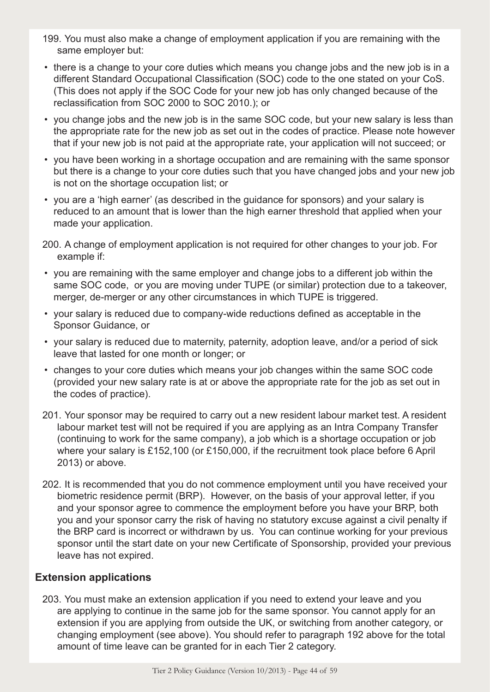- 199. You must also make a change of employment application if you are remaining with the same employer but:
- there is a change to your core duties which means you change jobs and the new job is in a different Standard Occupational Classification (SOC) code to the one stated on your CoS. (This does not apply if the SOC Code for your new job has only changed because of the reclassification from SOC 2000 to SOC 2010.); or
- you change jobs and the new job is in the same SOC code, but your new salary is less than the appropriate rate for the new job as set out in the codes of practice. Please note however that if your new job is not paid at the appropriate rate, your application will not succeed; or
- you have been working in a shortage occupation and are remaining with the same sponsor but there is a change to your core duties such that you have changed jobs and your new job is not on the shortage occupation list; or
- you are a 'high earner' (as described in the guidance for sponsors) and your salary is reduced to an amount that is lower than the high earner threshold that applied when your made your application.
- 200. A change of employment application is not required for other changes to your job. For example if:
- you are remaining with the same employer and change jobs to a different job within the same SOC code, or you are moving under TUPE (or similar) protection due to a takeover, merger, de-merger or any other circumstances in which TUPE is triggered.
- your salary is reduced due to company-wide reductions defined as acceptable in the Sponsor Guidance, or
- your salary is reduced due to maternity, paternity, adoption leave, and/or a period of sick leave that lasted for one month or longer; or
- changes to your core duties which means your job changes within the same SOC code (provided your new salary rate is at or above the appropriate rate for the job as set out in the codes of practice).
- 201. Your sponsor may be required to carry out a new resident labour market test. A resident labour market test will not be required if you are applying as an Intra Company Transfer (continuing to work for the same company), a job which is a shortage occupation or job where your salary is £152,100 (or £150,000, if the recruitment took place before 6 April 2013) or above.
- 202. It is recommended that you do not commence employment until you have received your biometric residence permit (BRP). However, on the basis of your approval letter, if you and your sponsor agree to commence the employment before you have your BRP, both you and your sponsor carry the risk of having no statutory excuse against a civil penalty if the BRP card is incorrect or withdrawn by us. You can continue working for your previous sponsor until the start date on your new Certificate of Sponsorship, provided your previous leave has not expired.

#### **Extension applications**

203. You must make an extension application if you need to extend your leave and you are applying to continue in the same job for the same sponsor. You cannot apply for an extension if you are applying from outside the UK, or switching from another category, or changing employment (see above). You should refer to paragraph 192 above for the total amount of time leave can be granted for in each Tier 2 category.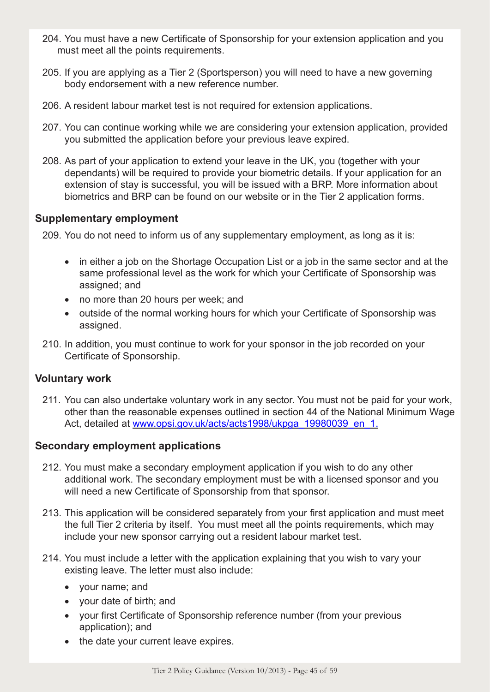- 204. You must have a new Certificate of Sponsorship for your extension application and you must meet all the points requirements.
- 205. If you are applying as a Tier 2 (Sportsperson) you will need to have a new governing body endorsement with a new reference number.
- 206. A resident labour market test is not required for extension applications.
- 207. You can continue working while we are considering your extension application, provided you submitted the application before your previous leave expired.
- 208. As part of your application to extend your leave in the UK, you (together with your dependants) will be required to provide your biometric details. If your application for an extension of stay is successful, you will be issued with a BRP. More information about biometrics and BRP can be found on our website or in the Tier 2 application forms.

#### **Supplementary employment**

209. You do not need to inform us of any supplementary employment, as long as it is:

- in either a job on the Shortage Occupation List or a job in the same sector and at the same professional level as the work for which your Certificate of Sponsorship was assigned; and
- no more than 20 hours per week; and
- outside of the normal working hours for which your Certificate of Sponsorship was assigned.
- 210. In addition, you must continue to work for your sponsor in the job recorded on your Certificate of Sponsorship.

# **Voluntary work**

211. You can also undertake voluntary work in any sector. You must not be paid for your work, other than the reasonable expenses outlined in section 44 of the National Minimum Wage Act, detailed at www.opsi.gov.uk/acts/acts1998/ukpga\_19980039\_en\_1.

#### **Secondary employment applications**

- 212. You must make a secondary employment application if you wish to do any other additional work. The secondary employment must be with a licensed sponsor and you will need a new Certificate of Sponsorship from that sponsor.
- 213. This application will be considered separately from your first application and must meet the full Tier 2 criteria by itself. You must meet all the points requirements, which may include your new sponsor carrying out a resident labour market test.
- 214. You must include a letter with the application explaining that you wish to vary your existing leave. The letter must also include:
	- • your name; and
	- • your date of birth; and
	- your first Certificate of Sponsorship reference number (from your previous application); and
	- the date your current leave expires.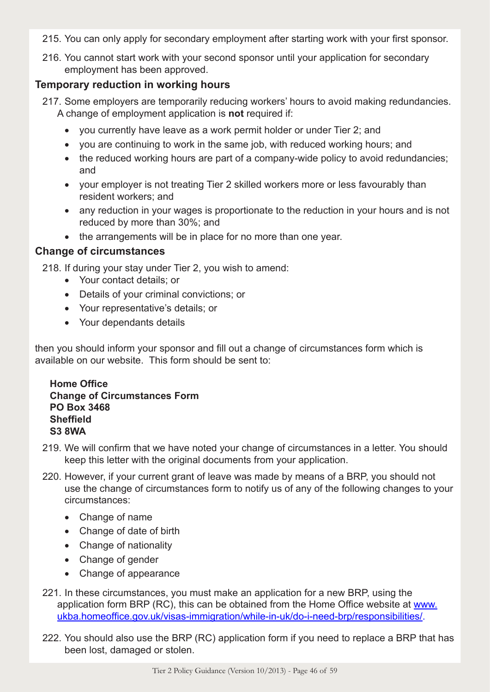- 215. You can only apply for secondary employment after starting work with your first sponsor.
- 216. You cannot start work with your second sponsor until your application for secondary employment has been approved.

#### **Temporary reduction in working hours**

- 217. Some employers are temporarily reducing workers' hours to avoid making redundancies. A change of employment application is **not** required if:
	- you currently have leave as a work permit holder or under Tier 2; and
	- you are continuing to work in the same job, with reduced working hours; and
	- the reduced working hours are part of a company-wide policy to avoid redundancies; and
	- vour employer is not treating Tier 2 skilled workers more or less favourably than resident workers; and
	- any reduction in your wages is proportionate to the reduction in your hours and is not reduced by more than 30%; and
	- the arrangements will be in place for no more than one year.

#### **Change of circumstances**

218. If during your stay under Tier 2, you wish to amend:

- • Your contact details; or
- • Details of your criminal convictions; or
- • Your representative's details; or
- • Your dependants details

then you should inform your sponsor and fill out a change of circumstances form which is available on our website. This form should be sent to:

#### **Home Office Change of Circumstances Form PO Box 3468 Sheffield S3 8WA**

- 219. We will confirm that we have noted your change of circumstances in a letter. You should keep this letter with the original documents from your application.
- 220. However, if your current grant of leave was made by means of a BRP, you should not use the change of circumstances form to notify us of any of the following changes to your circumstances:
	- Change of name
	- Change of date of birth
	- Change of nationality
	- Change of gender
	- Change of appearance
- 221. In these circumstances, you must make an application for a new BRP, using the application form BRP (RC), this can be obtained from the Home Office website at www. ukba.homeoffice.gov.uk/visas-immigration/while-in-uk/do-i-need-brp/responsibilities/.
- 222. You should also use the BRP (RC) application form if you need to replace a BRP that has been lost, damaged or stolen.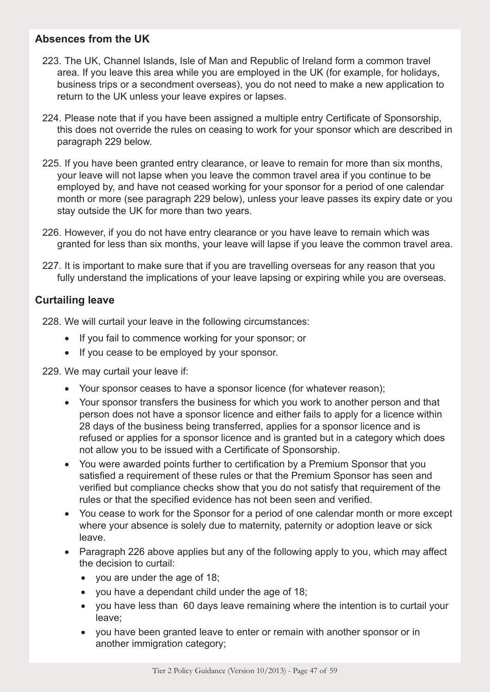# **Absences from the UK**

- 223. The UK, Channel Islands, Isle of Man and Republic of Ireland form a common travel area. If you leave this area while you are employed in the UK (for example, for holidays, business trips or a secondment overseas), you do not need to make a new application to return to the UK unless your leave expires or lapses.
- 224. Please note that if you have been assigned a multiple entry Certificate of Sponsorship, this does not override the rules on ceasing to work for your sponsor which are described in paragraph 229 below.
- 225. If you have been granted entry clearance, or leave to remain for more than six months, your leave will not lapse when you leave the common travel area if you continue to be employed by, and have not ceased working for your sponsor for a period of one calendar month or more (see paragraph 229 below), unless your leave passes its expiry date or you stay outside the UK for more than two years.
- 226. However, if you do not have entry clearance or you have leave to remain which was granted for less than six months, your leave will lapse if you leave the common travel area.
- 227. It is important to make sure that if you are travelling overseas for any reason that you fully understand the implications of your leave lapsing or expiring while you are overseas.

#### **Curtailing leave**

228. We will curtail your leave in the following circumstances:

- If you fail to commence working for your sponsor; or
- If you cease to be employed by your sponsor.

229. We may curtail your leave if:

- Your sponsor ceases to have a sponsor licence (for whatever reason);
- Your sponsor transfers the business for which you work to another person and that person does not have a sponsor licence and either fails to apply for a licence within 28 days of the business being transferred, applies for a sponsor licence and is refused or applies for a sponsor licence and is granted but in a category which does not allow you to be issued with a Certificate of Sponsorship.
- You were awarded points further to certification by a Premium Sponsor that you satisfied a requirement of these rules or that the Premium Sponsor has seen and verified but compliance checks show that you do not satisfy that requirement of the rules or that the specified evidence has not been seen and verified.
- You cease to work for the Sponsor for a period of one calendar month or more except where your absence is solely due to maternity, paternity or adoption leave or sick leave.
- Paragraph 226 above applies but any of the following apply to you, which may affect the decision to curtail:
	- you are under the age of 18;
	- you have a dependant child under the age of 18;
	- you have less than 60 days leave remaining where the intention is to curtail your leave;
	- you have been granted leave to enter or remain with another sponsor or in another immigration category;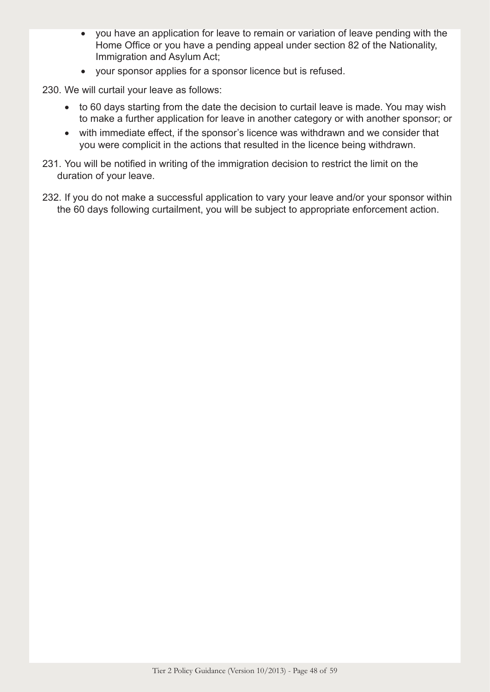- you have an application for leave to remain or variation of leave pending with the Home Office or you have a pending appeal under section 82 of the Nationality, Immigration and Asylum Act;
- your sponsor applies for a sponsor licence but is refused.

230. We will curtail your leave as follows:

- to 60 days starting from the date the decision to curtail leave is made. You may wish to make a further application for leave in another category or with another sponsor; or
- with immediate effect, if the sponsor's licence was withdrawn and we consider that you were complicit in the actions that resulted in the licence being withdrawn.
- 231. You will be notified in writing of the immigration decision to restrict the limit on the duration of your leave.
- 232. If you do not make a successful application to vary your leave and/or your sponsor within the 60 days following curtailment, you will be subject to appropriate enforcement action.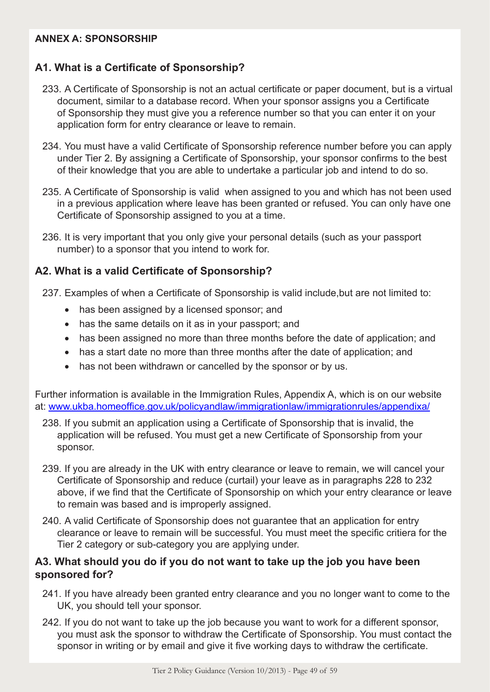#### **ANNEX A: SPONSORSHIP**

# **A1. What is a Certificate of Sponsorship?**

- 233. A Certificate of Sponsorship is not an actual certificate or paper document, but is a virtual document, similar to a database record. When your sponsor assigns you a Certificate of Sponsorship they must give you a reference number so that you can enter it on your application form for entry clearance or leave to remain.
- 234. You must have a valid Certificate of Sponsorship reference number before you can apply under Tier 2. By assigning a Certificate of Sponsorship, your sponsor confirms to the best of their knowledge that you are able to undertake a particular job and intend to do so.
- 235. A Certificate of Sponsorship is valid when assigned to you and which has not been used in a previous application where leave has been granted or refused. You can only have one Certificate of Sponsorship assigned to you at a time.
- 236. It is very important that you only give your personal details (such as your passport number) to a sponsor that you intend to work for.

# **A2. What is a valid Certificate of Sponsorship?**

- 237. Examples of when a Certificate of Sponsorship is valid include,but are not limited to:
	- has been assigned by a licensed sponsor; and
	- has the same details on it as in your passport; and
	- has been assigned no more than three months before the date of application; and
	- has a start date no more than three months after the date of application; and
	- has not been withdrawn or cancelled by the sponsor or by us.

Further information is available in the Immigration Rules, Appendix A, which is on our website at: www.ukba.homeoffice.gov.uk/policyandlaw/immigrationlaw/immigrationrules/appendixa/

- 238. If you submit an application using a Certificate of Sponsorship that is invalid, the application will be refused. You must get a new Certificate of Sponsorship from your sponsor.
- 239. If you are already in the UK with entry clearance or leave to remain, we will cancel your Certificate of Sponsorship and reduce (curtail) your leave as in paragraphs 228 to 232 above, if we find that the Certificate of Sponsorship on which your entry clearance or leave to remain was based and is improperly assigned.
- 240. A valid Certificate of Sponsorship does not guarantee that an application for entry clearance or leave to remain will be successful. You must meet the specific critiera for the Tier 2 category or sub-category you are applying under.

#### **A3. What should you do if you do not want to take up the job you have been sponsored for?**

- 241. If you have already been granted entry clearance and you no longer want to come to the UK, you should tell your sponsor.
- 242. If you do not want to take up the job because you want to work for a different sponsor, you must ask the sponsor to withdraw the Certificate of Sponsorship. You must contact the sponsor in writing or by email and give it five working days to withdraw the certificate.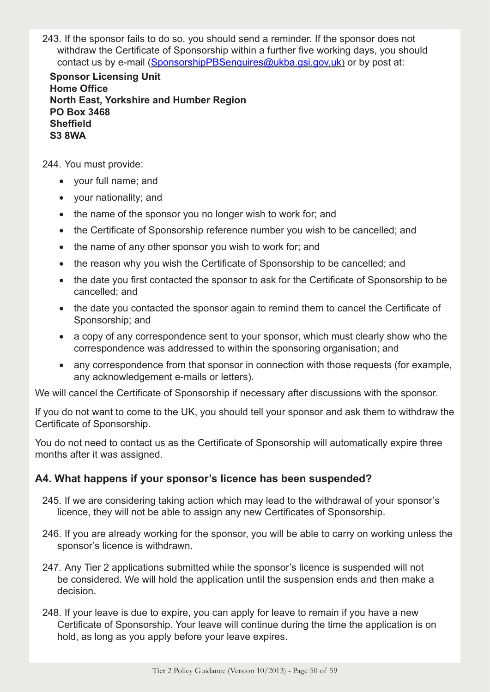243. If the sponsor fails to do so, you should send a reminder. If the sponsor does not withdraw the Certificate of Sponsorship within a further five working days, you should contact us by e-mail (SponsorshipPBSenquires@ukba.gsi.gov.uk) or by post at:

**Sponsor Licensing Unit Home Office North East, Yorkshire and Humber Region PO Box 3468 Sheffield S3 8WA**

244. You must provide:

- • your full name; and
- • your nationality; and
- the name of the sponsor you no longer wish to work for; and
- the Certificate of Sponsorship reference number you wish to be cancelled; and
- the name of any other sponsor you wish to work for; and
- the reason why you wish the Certificate of Sponsorship to be cancelled; and
- the date you first contacted the sponsor to ask for the Certificate of Sponsorship to be cancelled; and
- the date you contacted the sponsor again to remind them to cancel the Certificate of Sponsorship; and
- a copy of any correspondence sent to your sponsor, which must clearly show who the correspondence was addressed to within the sponsoring organisation; and
- any correspondence from that sponsor in connection with those requests (for example, any acknowledgement e-mails or letters).

We will cancel the Certificate of Sponsorship if necessary after discussions with the sponsor.

If you do not want to come to the UK, you should tell your sponsor and ask them to withdraw the Certificate of Sponsorship.

You do not need to contact us as the Certificate of Sponsorship will automatically expire three months after it was assigned.

#### **A4. What happens if your sponsor's licence has been suspended?**

- 245. If we are considering taking action which may lead to the withdrawal of your sponsor's licence, they will not be able to assign any new Certificates of Sponsorship.
- 246. If you are already working for the sponsor, you will be able to carry on working unless the sponsor's licence is withdrawn.
- 247. Any Tier 2 applications submitted while the sponsor's licence is suspended will not be considered. We will hold the application until the suspension ends and then make a decision.
- 248. If your leave is due to expire, you can apply for leave to remain if you have a new Certificate of Sponsorship. Your leave will continue during the time the application is on hold, as long as you apply before your leave expires.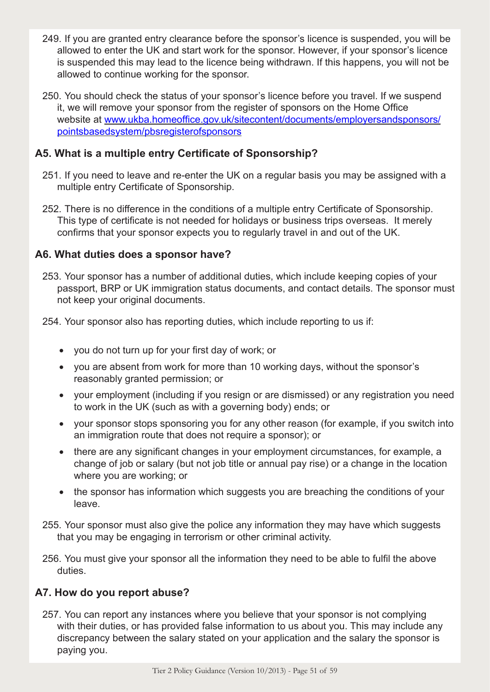- 249. If you are granted entry clearance before the sponsor's licence is suspended, you will be allowed to enter the UK and start work for the sponsor. However, if your sponsor's licence is suspended this may lead to the licence being withdrawn. If this happens, you will not be allowed to continue working for the sponsor.
- 250. You should check the status of your sponsor's licence before you travel. If we suspend it, we will remove your sponsor from the register of sponsors on the Home Office website at www.ukba.homeoffice.gov.uk/sitecontent/documents/employersandsponsors/ pointsbasedsystem/pbsregisterofsponsors

# **A5. What is a multiple entry Certificate of Sponsorship?**

- 251. If you need to leave and re-enter the UK on a regular basis you may be assigned with a multiple entry Certificate of Sponsorship.
- 252. There is no difference in the conditions of a multiple entry Certificate of Sponsorship. This type of certificate is not needed for holidays or business trips overseas. It merely confirms that your sponsor expects you to regularly travel in and out of the UK.

#### **A6. What duties does a sponsor have?**

253. Your sponsor has a number of additional duties, which include keeping copies of your passport, BRP or UK immigration status documents, and contact details. The sponsor must not keep your original documents.

254. Your sponsor also has reporting duties, which include reporting to us if:

- • you do not turn up for your first day of work; or
- you are absent from work for more than 10 working days, without the sponsor's reasonably granted permission; or
- your employment (including if you resign or are dismissed) or any registration you need to work in the UK (such as with a governing body) ends; or
- your sponsor stops sponsoring you for any other reason (for example, if you switch into an immigration route that does not require a sponsor); or
- there are any significant changes in your employment circumstances, for example, a change of job or salary (but not job title or annual pay rise) or a change in the location where you are working; or
- the sponsor has information which suggests you are breaching the conditions of your leave.
- 255. Your sponsor must also give the police any information they may have which suggests that you may be engaging in terrorism or other criminal activity.
- 256. You must give your sponsor all the information they need to be able to fulfil the above duties.

# **A7. How do you report abuse?**

257. You can report any instances where you believe that your sponsor is not complying with their duties, or has provided false information to us about you. This may include any discrepancy between the salary stated on your application and the salary the sponsor is paying you.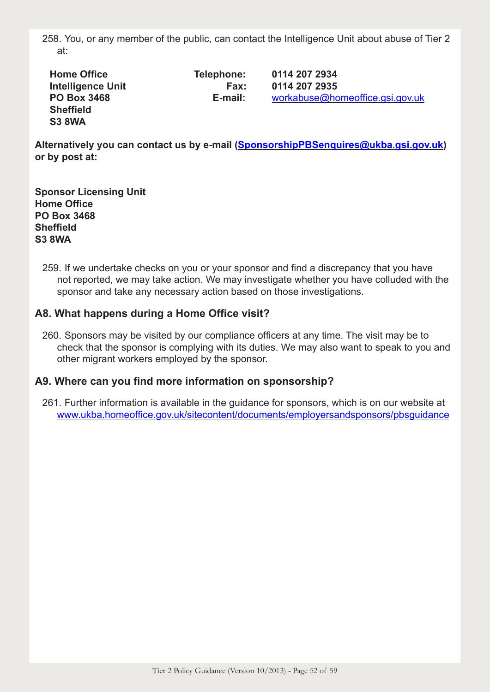258. You, or any member of the public, can contact the Intelligence Unit about abuse of Tier 2 at:

| <b>Home Office</b>       | Telephone: | 0114 207 2934                   |
|--------------------------|------------|---------------------------------|
| <b>Intelligence Unit</b> | Fax:       | 0114 207 2935                   |
| <b>PO Box 3468</b>       | E-mail:    | workabuse@homeoffice.gsi.gov.uk |
| <b>Sheffield</b>         |            |                                 |
| <b>S3 8WA</b>            |            |                                 |

Alternatively you can contact us by e-mail (SponsorshipPBSenquires@ukba.gsi.gov.uk) **or by post at:**

**Sponsor Licensing Unit Home Office PO Box 3468 Sheffield S3 8WA**

259. If we undertake checks on you or your sponsor and find a discrepancy that you have not reported, we may take action. We may investigate whether you have colluded with the sponsor and take any necessary action based on those investigations.

#### **A8. What happens during a Home Office visit?**

260. Sponsors may be visited by our compliance officers at any time. The visit may be to check that the sponsor is complying with its duties. We may also want to speak to you and other migrant workers employed by the sponsor.

#### **A9. Where can you find more information on sponsorship?**

261. Further information is available in the guidance for sponsors, which is on our website at www.ukba.homeoffice.gov.uk/sitecontent/documents/employersandsponsors/pbsguidance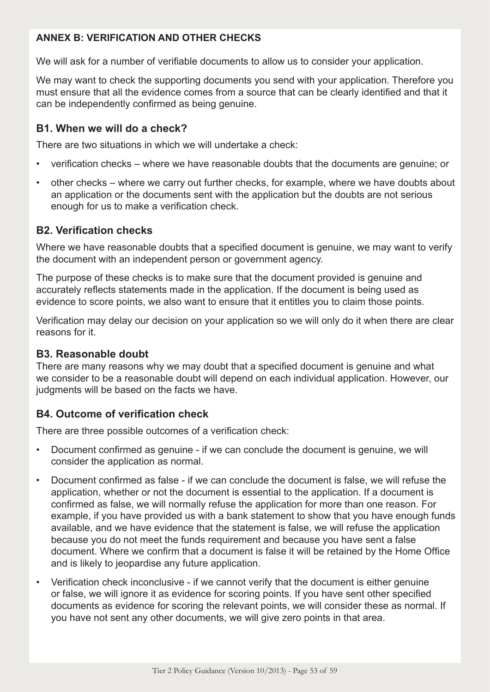# **ANNEX B: VERIFICATION AND OTHER CHECKS**

We will ask for a number of verifiable documents to allow us to consider your application.

We may want to check the supporting documents you send with your application. Therefore you must ensure that all the evidence comes from a source that can be clearly identified and that it can be independently confirmed as being genuine.

# **B1. When we will do a check?**

There are two situations in which we will undertake a check:

- verification checks where we have reasonable doubts that the documents are genuine; or
- other checks where we carry out further checks, for example, where we have doubts about an application or the documents sent with the application but the doubts are not serious enough for us to make a verification check.

#### **B2. Verification checks**

Where we have reasonable doubts that a specified document is genuine, we may want to verify the document with an independent person or government agency.

The purpose of these checks is to make sure that the document provided is genuine and accurately reflects statements made in the application. If the document is being used as evidence to score points, we also want to ensure that it entitles you to claim those points.

Verification may delay our decision on your application so we will only do it when there are clear reasons for it.

#### **B3. Reasonable doubt**

There are many reasons why we may doubt that a specified document is genuine and what we consider to be a reasonable doubt will depend on each individual application. However, our judgments will be based on the facts we have.

# **B4. Outcome of verification check**

There are three possible outcomes of a verification check:

- Document confirmed as genuine if we can conclude the document is genuine, we will consider the application as normal.
- Document confirmed as false if we can conclude the document is false, we will refuse the application, whether or not the document is essential to the application. If a document is confirmed as false, we will normally refuse the application for more than one reason. For example, if you have provided us with a bank statement to show that you have enough funds available, and we have evidence that the statement is false, we will refuse the application because you do not meet the funds requirement and because you have sent a false document. Where we confirm that a document is false it will be retained by the Home Office and is likely to jeopardise any future application.
- Verification check inconclusive if we cannot verify that the document is either genuine or false, we will ignore it as evidence for scoring points. If you have sent other specified documents as evidence for scoring the relevant points, we will consider these as normal. If you have not sent any other documents, we will give zero points in that area.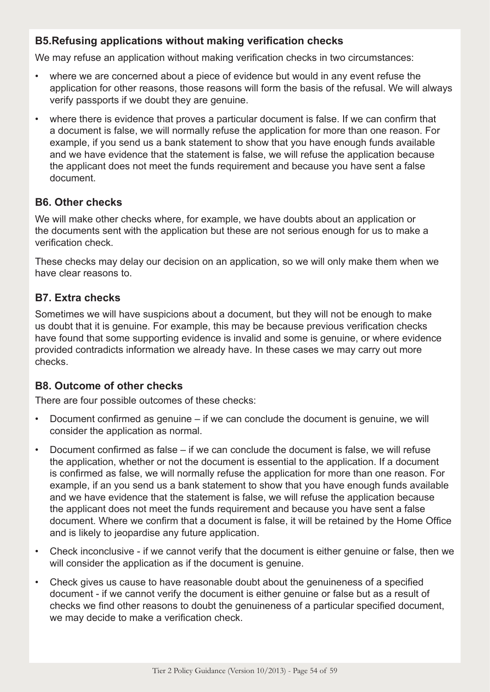# **B5.Refusing applications without making verification checks**

We may refuse an application without making verification checks in two circumstances:

- where we are concerned about a piece of evidence but would in any event refuse the application for other reasons, those reasons will form the basis of the refusal. We will always verify passports if we doubt they are genuine.
- where there is evidence that proves a particular document is false. If we can confirm that a document is false, we will normally refuse the application for more than one reason. For example, if you send us a bank statement to show that you have enough funds available and we have evidence that the statement is false, we will refuse the application because the applicant does not meet the funds requirement and because you have sent a false document.

#### **B6. Other checks**

We will make other checks where, for example, we have doubts about an application or the documents sent with the application but these are not serious enough for us to make a verification check.

These checks may delay our decision on an application, so we will only make them when we have clear reasons to.

# **B7. Extra checks**

Sometimes we will have suspicions about a document, but they will not be enough to make us doubt that it is genuine. For example, this may be because previous verification checks have found that some supporting evidence is invalid and some is genuine, or where evidence provided contradicts information we already have. In these cases we may carry out more checks.

# **B8. Outcome of other checks**

There are four possible outcomes of these checks:

- Document confirmed as genuine if we can conclude the document is genuine, we will consider the application as normal.
- Document confirmed as false if we can conclude the document is false, we will refuse the application, whether or not the document is essential to the application. If a document is confirmed as false, we will normally refuse the application for more than one reason. For example, if an you send us a bank statement to show that you have enough funds available and we have evidence that the statement is false, we will refuse the application because the applicant does not meet the funds requirement and because you have sent a false document. Where we confirm that a document is false, it will be retained by the Home Office and is likely to jeopardise any future application.
- Check inconclusive if we cannot verify that the document is either genuine or false, then we will consider the application as if the document is genuine.
- Check gives us cause to have reasonable doubt about the genuineness of a specified document - if we cannot verify the document is either genuine or false but as a result of checks we find other reasons to doubt the genuineness of a particular specified document, we may decide to make a verification check.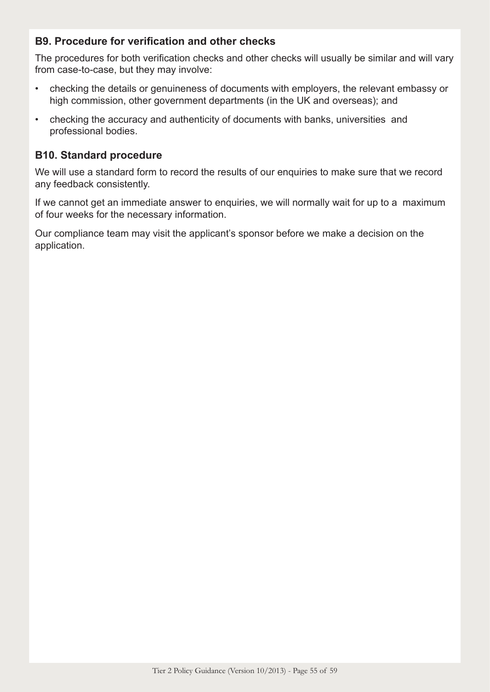# **B9. Procedure for verification and other checks**

The procedures for both verification checks and other checks will usually be similar and will vary from case-to-case, but they may involve:

- checking the details or genuineness of documents with employers, the relevant embassy or high commission, other government departments (in the UK and overseas); and
- checking the accuracy and authenticity of documents with banks, universities and professional bodies.

# **B10. Standard procedure**

We will use a standard form to record the results of our enquiries to make sure that we record any feedback consistently.

If we cannot get an immediate answer to enquiries, we will normally wait for up to a maximum of four weeks for the necessary information.

Our compliance team may visit the applicant's sponsor before we make a decision on the application.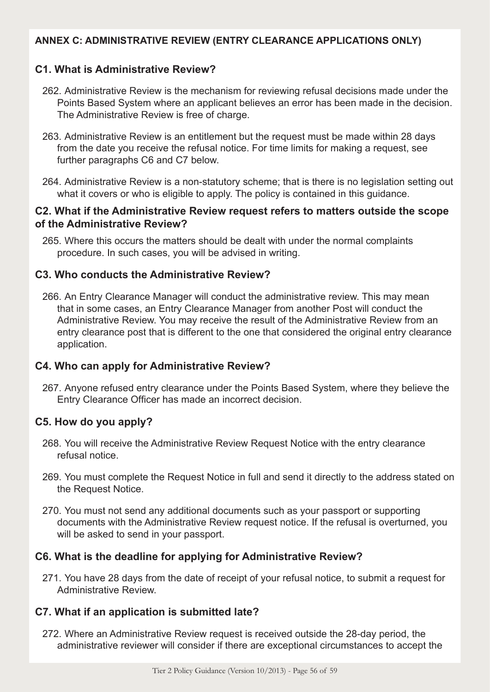#### **ANNEX C: ADMINISTRATIVE REVIEW (ENTRY CLEARANCE APPLICATIONS ONLY)**

# **C1. What is Administrative Review?**

- 262. Administrative Review is the mechanism for reviewing refusal decisions made under the Points Based System where an applicant believes an error has been made in the decision. The Administrative Review is free of charge.
- 263. Administrative Review is an entitlement but the request must be made within 28 days from the date you receive the refusal notice. For time limits for making a request, see further paragraphs C6 and C7 below.
- 264. Administrative Review is a non-statutory scheme; that is there is no legislation setting out what it covers or who is eligible to apply. The policy is contained in this guidance.

#### **C2. What if the Administrative Review request refers to matters outside the scope of the Administrative Review?**

265. Where this occurs the matters should be dealt with under the normal complaints procedure. In such cases, you will be advised in writing.

#### **C3. Who conducts the Administrative Review?**

266. An Entry Clearance Manager will conduct the administrative review. This may mean that in some cases, an Entry Clearance Manager from another Post will conduct the Administrative Review. You may receive the result of the Administrative Review from an entry clearance post that is different to the one that considered the original entry clearance application.

#### **C4. Who can apply for Administrative Review?**

267. Anyone refused entry clearance under the Points Based System, where they believe the Entry Clearance Officer has made an incorrect decision.

#### **C5. How do you apply?**

- 268. You will receive the Administrative Review Request Notice with the entry clearance refusal notice.
- 269. You must complete the Request Notice in full and send it directly to the address stated on the Request Notice.
- 270. You must not send any additional documents such as your passport or supporting documents with the Administrative Review request notice. If the refusal is overturned, you will be asked to send in your passport.

# **C6. What is the deadline for applying for Administrative Review?**

271. You have 28 days from the date of receipt of your refusal notice, to submit a request for Administrative Review.

# **C7. What if an application is submitted late?**

272. Where an Administrative Review request is received outside the 28-day period, the administrative reviewer will consider if there are exceptional circumstances to accept the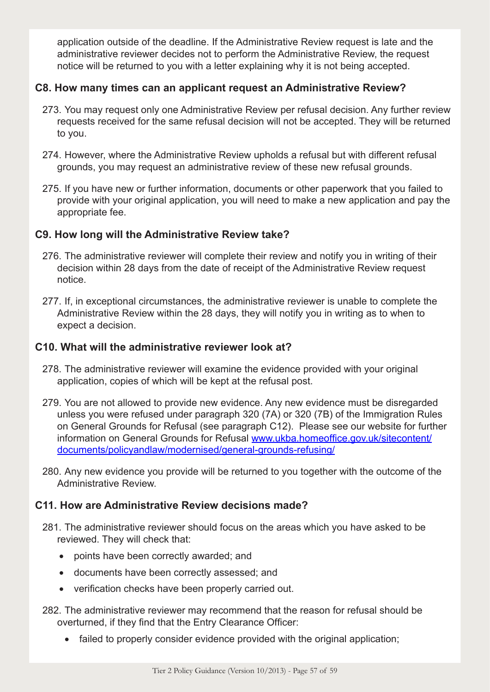application outside of the deadline. If the Administrative Review request is late and the administrative reviewer decides not to perform the Administrative Review, the request notice will be returned to you with a letter explaining why it is not being accepted.

#### **C8. How many times can an applicant request an Administrative Review?**

- 273. You may request only one Administrative Review per refusal decision. Any further review requests received for the same refusal decision will not be accepted. They will be returned to you.
- 274. However, where the Administrative Review upholds a refusal but with different refusal grounds, you may request an administrative review of these new refusal grounds.
- 275. If you have new or further information, documents or other paperwork that you failed to provide with your original application, you will need to make a new application and pay the appropriate fee.

# **C9. How long will the Administrative Review take?**

- 276. The administrative reviewer will complete their review and notify you in writing of their decision within 28 days from the date of receipt of the Administrative Review request notice.
- 277. If, in exceptional circumstances, the administrative reviewer is unable to complete the Administrative Review within the 28 days, they will notify you in writing as to when to expect a decision.

# **C10. What will the administrative reviewer look at?**

- 278. The administrative reviewer will examine the evidence provided with your original application, copies of which will be kept at the refusal post.
- 279. You are not allowed to provide new evidence. Any new evidence must be disregarded unless you were refused under paragraph 320 (7A) or 320 (7B) of the Immigration Rules on General Grounds for Refusal (see paragraph C12). Please see our website for further information on General Grounds for Refusal www.ukba.homeoffice.gov.uk/sitecontent/ documents/policyandlaw/modernised/general-grounds-refusing/
- 280. Any new evidence you provide will be returned to you together with the outcome of the Administrative Review.

#### **C11. How are Administrative Review decisions made?**

- 281. The administrative reviewer should focus on the areas which you have asked to be reviewed. They will check that:
	- points have been correctly awarded; and
	- • documents have been correctly assessed; and
	- verification checks have been properly carried out.
- 282. The administrative reviewer may recommend that the reason for refusal should be overturned, if they find that the Entry Clearance Officer:
	- failed to properly consider evidence provided with the original application;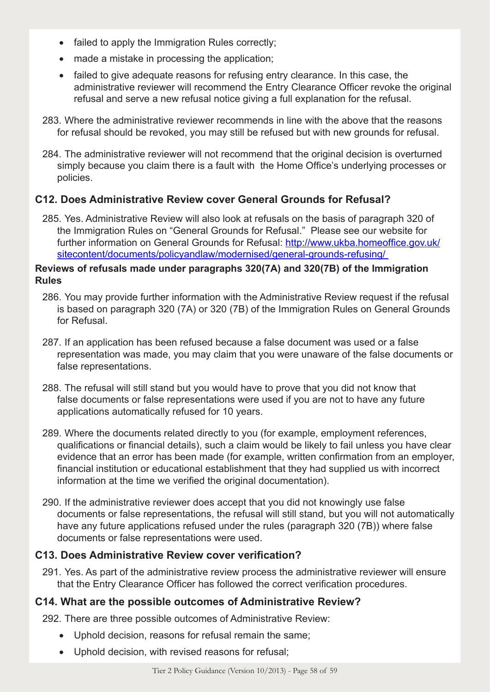- failed to apply the Immigration Rules correctly;
- made a mistake in processing the application;
- failed to give adequate reasons for refusing entry clearance. In this case, the administrative reviewer will recommend the Entry Clearance Officer revoke the original refusal and serve a new refusal notice giving a full explanation for the refusal.
- 283. Where the administrative reviewer recommends in line with the above that the reasons for refusal should be revoked, you may still be refused but with new grounds for refusal.
- 284. The administrative reviewer will not recommend that the original decision is overturned simply because you claim there is a fault with the Home Office's underlying processes or policies.

# **C12. Does Administrative Review cover General Grounds for Refusal?**

285. Yes. Administrative Review will also look at refusals on the basis of paragraph 320 of the Immigration Rules on "General Grounds for Refusal." Please see our website for further information on General Grounds for Refusal: http://www.ukba.homeoffice.gov.uk/ sitecontent/documents/policyandlaw/modernised/general-grounds-refusing/

#### **Reviews of refusals made under paragraphs 320(7A) and 320(7B) of the Immigration Rules**

- 286. You may provide further information with the Administrative Review request if the refusal is based on paragraph 320 (7A) or 320 (7B) of the Immigration Rules on General Grounds for Refusal.
- 287. If an application has been refused because a false document was used or a false representation was made, you may claim that you were unaware of the false documents or false representations.
- 288. The refusal will still stand but you would have to prove that you did not know that false documents or false representations were used if you are not to have any future applications automatically refused for 10 years.
- 289. Where the documents related directly to you (for example, employment references, qualifications or financial details), such a claim would be likely to fail unless you have clear evidence that an error has been made (for example, written confirmation from an employer, financial institution or educational establishment that they had supplied us with incorrect information at the time we verified the original documentation).
- 290. If the administrative reviewer does accept that you did not knowingly use false documents or false representations, the refusal will still stand, but you will not automatically have any future applications refused under the rules (paragraph 320 (7B)) where false documents or false representations were used.

# **C13. Does Administrative Review cover verification?**

291. Yes. As part of the administrative review process the administrative reviewer will ensure that the Entry Clearance Officer has followed the correct verification procedures.

# **C14. What are the possible outcomes of Administrative Review?**

292. There are three possible outcomes of Administrative Review:

- Uphold decision, reasons for refusal remain the same;
- Uphold decision, with revised reasons for refusal;